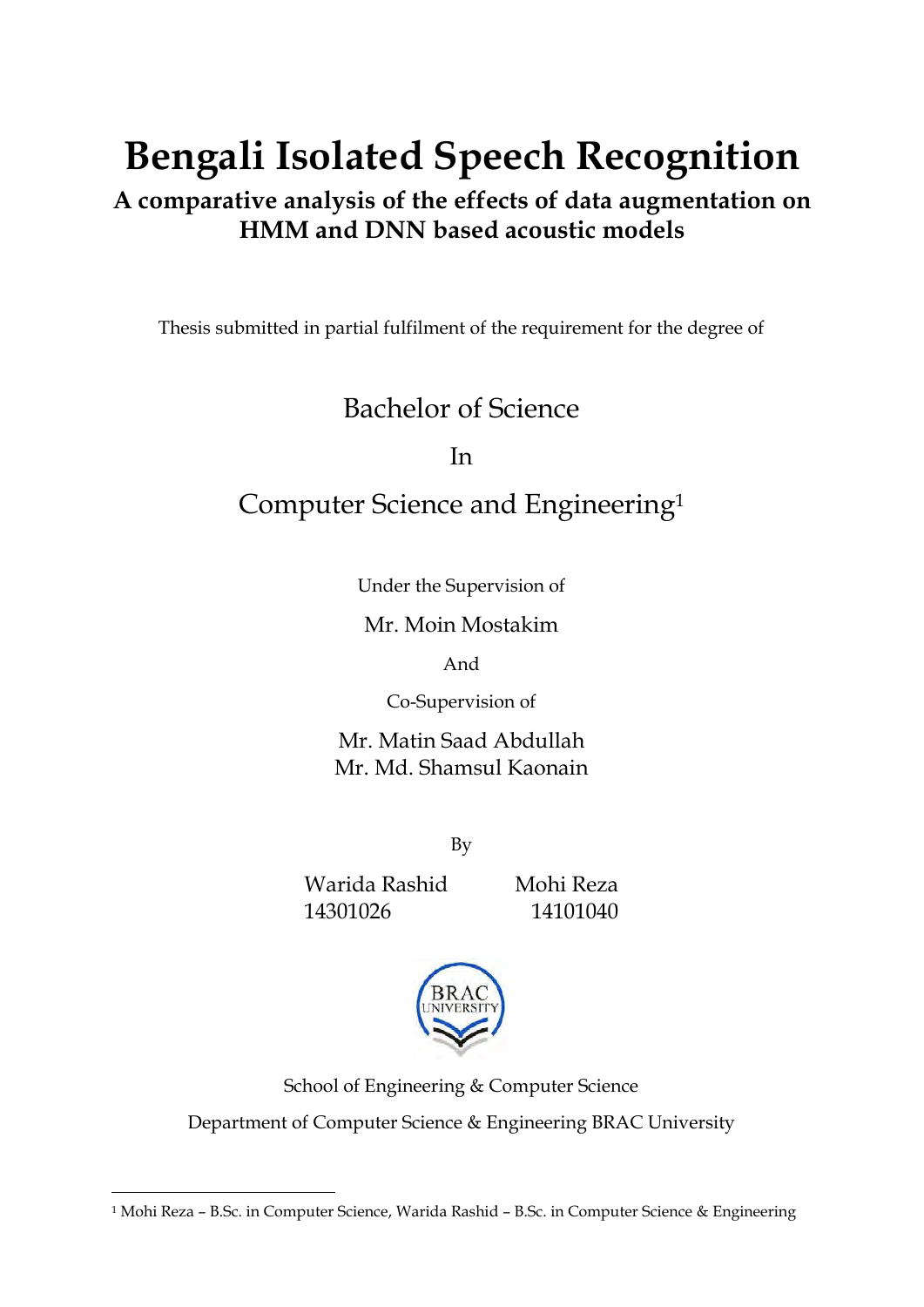# **Bengali Isolated Speech Recognition**

# **A comparative analysis of the effects of data augmentation on HMM and DNN based acoustic models**

Thesis submitted in partial fulfilment of the requirement for the degree of

# Bachelor of Science

In

# Computer Science and Engineering<sup>1</sup>

Under the Supervision of

Mr. Moin Mostakim

And

Co-Supervision of

Mr. Matin Saad Abdullah Mr. Md. Shamsul Kaonain

By

Warida Rashid Mohi Reza 14301026 14101040

 $\overline{a}$ 



School of Engineering & Computer Science Department of Computer Science & Engineering BRAC University

<sup>1</sup> Mohi Reza – B.Sc. in Computer Science, Warida Rashid – B.Sc. in Computer Science & Engineering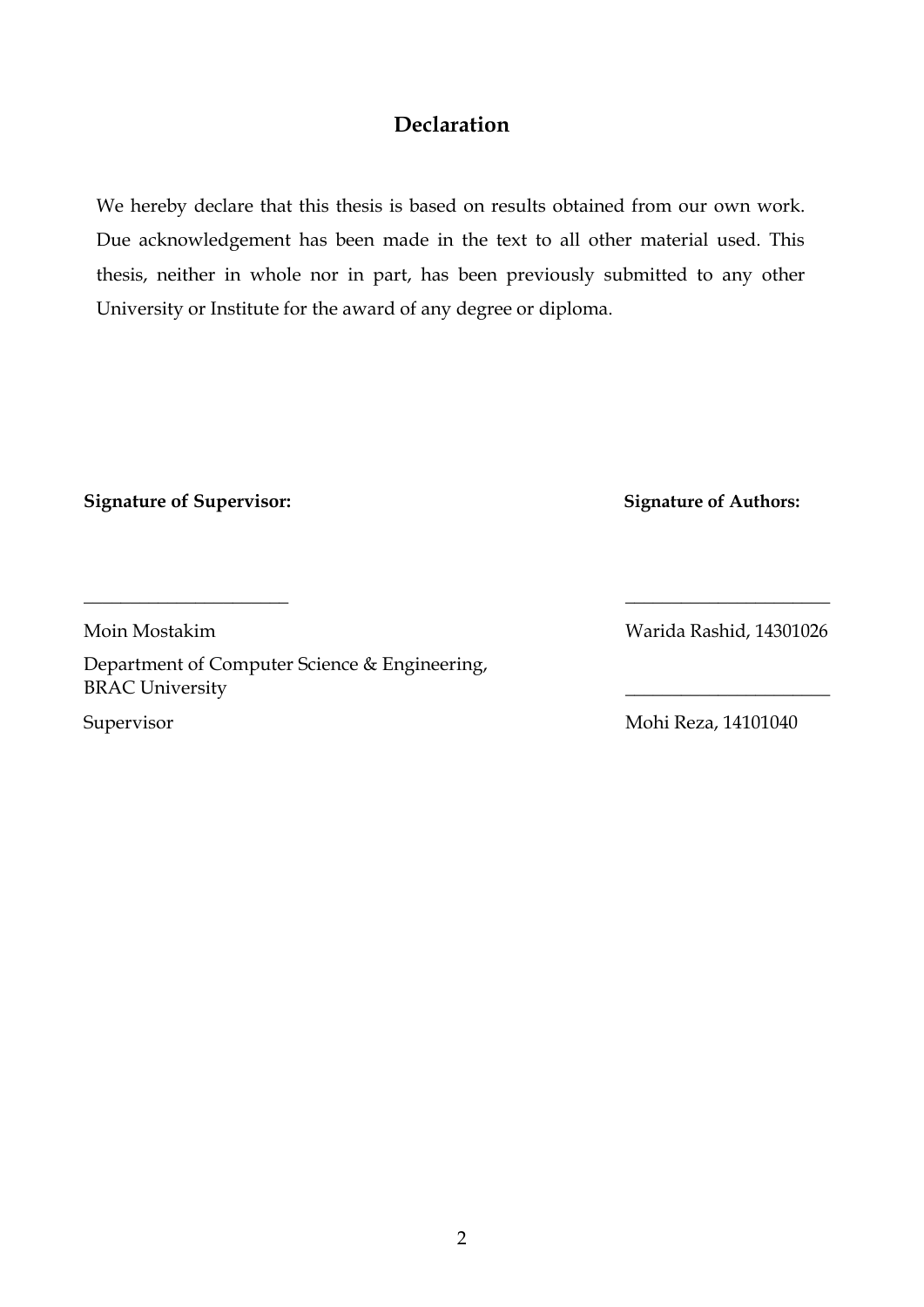# **Declaration**

We hereby declare that this thesis is based on results obtained from our own work. Due acknowledgement has been made in the text to all other material used. This thesis, neither in whole nor in part, has been previously submitted to any other University or Institute for the award of any degree or diploma.

**Signature of Supervisor: Signature of Authors:** 

**\_\_\_\_\_\_\_\_\_\_\_\_\_\_\_\_\_\_\_\_\_\_ \_\_\_\_\_\_\_\_\_\_\_\_\_\_\_\_\_\_\_\_\_\_**

Department of Computer Science & Engineering, BRAC University **\_\_\_\_\_\_\_\_\_\_\_\_\_\_\_\_\_\_\_\_\_\_**

Moin Mostakim Warida Rashid, 14301026

Supervisor Mohi Reza, 14101040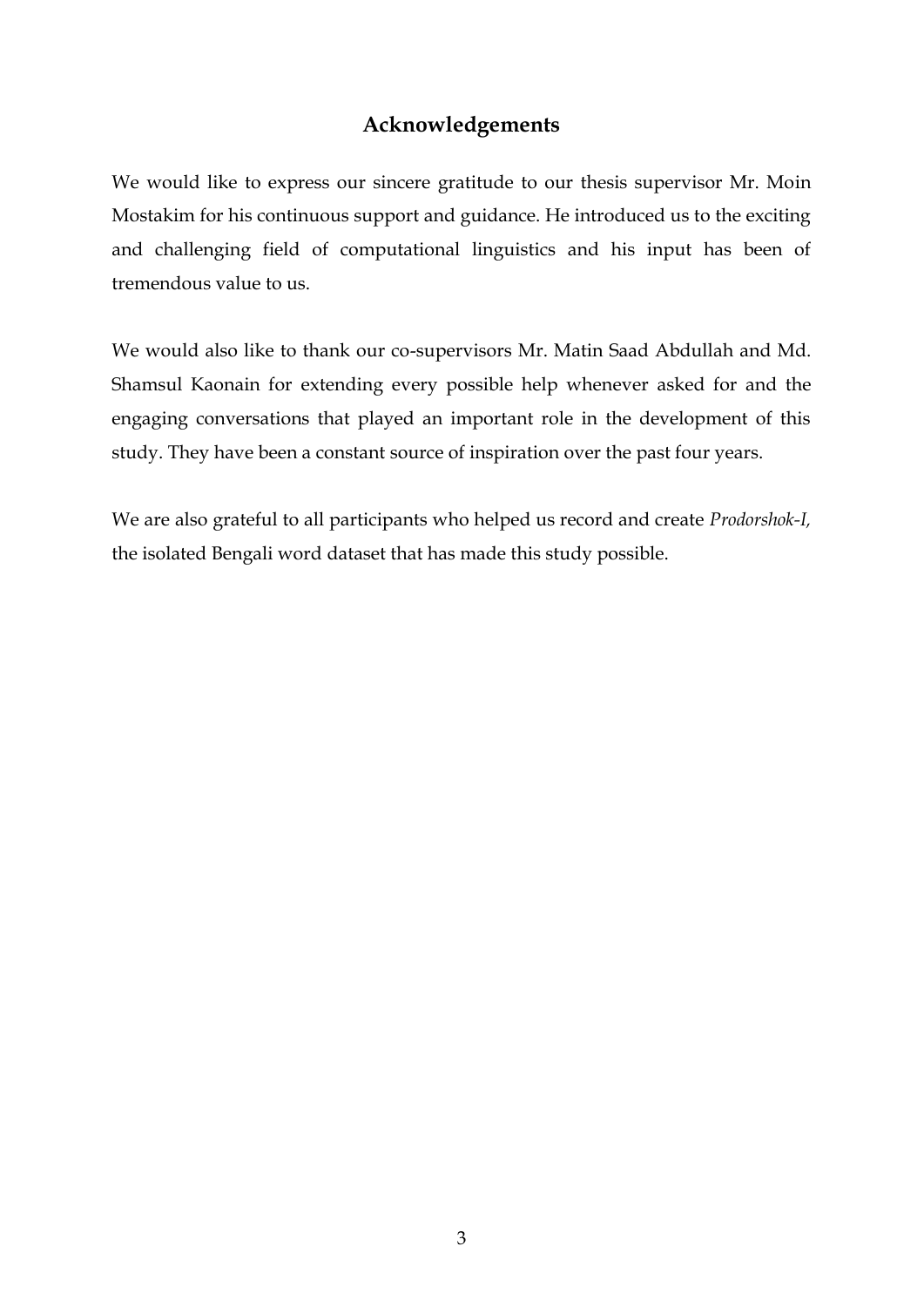### **Acknowledgements**

We would like to express our sincere gratitude to our thesis supervisor Mr. Moin Mostakim for his continuous support and guidance. He introduced us to the exciting and challenging field of computational linguistics and his input has been of tremendous value to us.

We would also like to thank our co-supervisors Mr. Matin Saad Abdullah and Md. Shamsul Kaonain for extending every possible help whenever asked for and the engaging conversations that played an important role in the development of this study. They have been a constant source of inspiration over the past four years.

We are also grateful to all participants who helped us record and create *Prodorshok-I,*  the isolated Bengali word dataset that has made this study possible.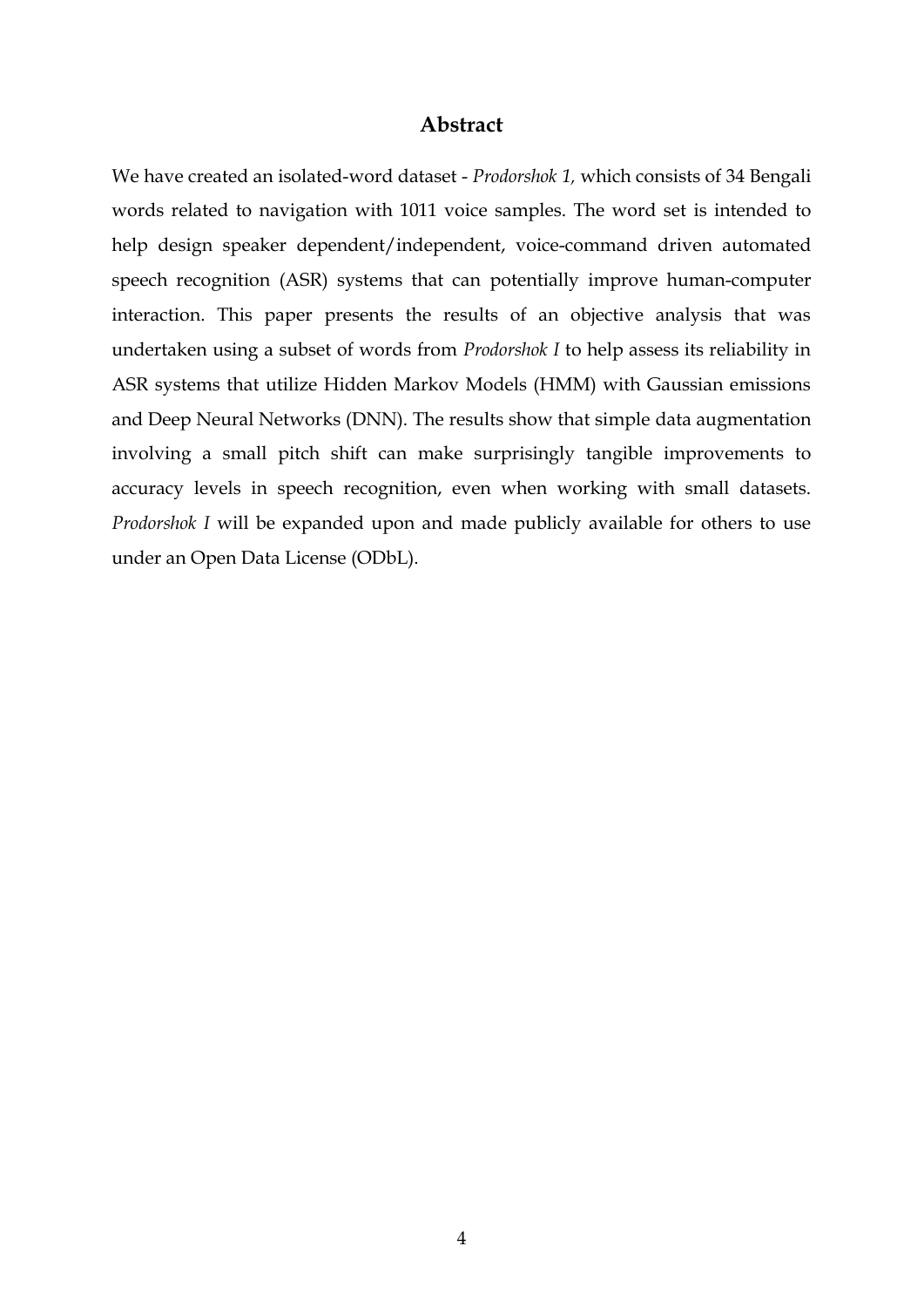#### **Abstract**

We have created an isolated-word dataset - *Prodorshok 1,* which consists of 34 Bengali words related to navigation with 1011 voice samples. The word set is intended to help design speaker dependent/independent, voice-command driven automated speech recognition (ASR) systems that can potentially improve human-computer interaction. This paper presents the results of an objective analysis that was undertaken using a subset of words from *Prodorshok I* to help assess its reliability in ASR systems that utilize Hidden Markov Models (HMM) with Gaussian emissions and Deep Neural Networks (DNN). The results show that simple data augmentation involving a small pitch shift can make surprisingly tangible improvements to accuracy levels in speech recognition, even when working with small datasets. *Prodorshok I* will be expanded upon and made publicly available for others to use under an Open Data License (ODbL).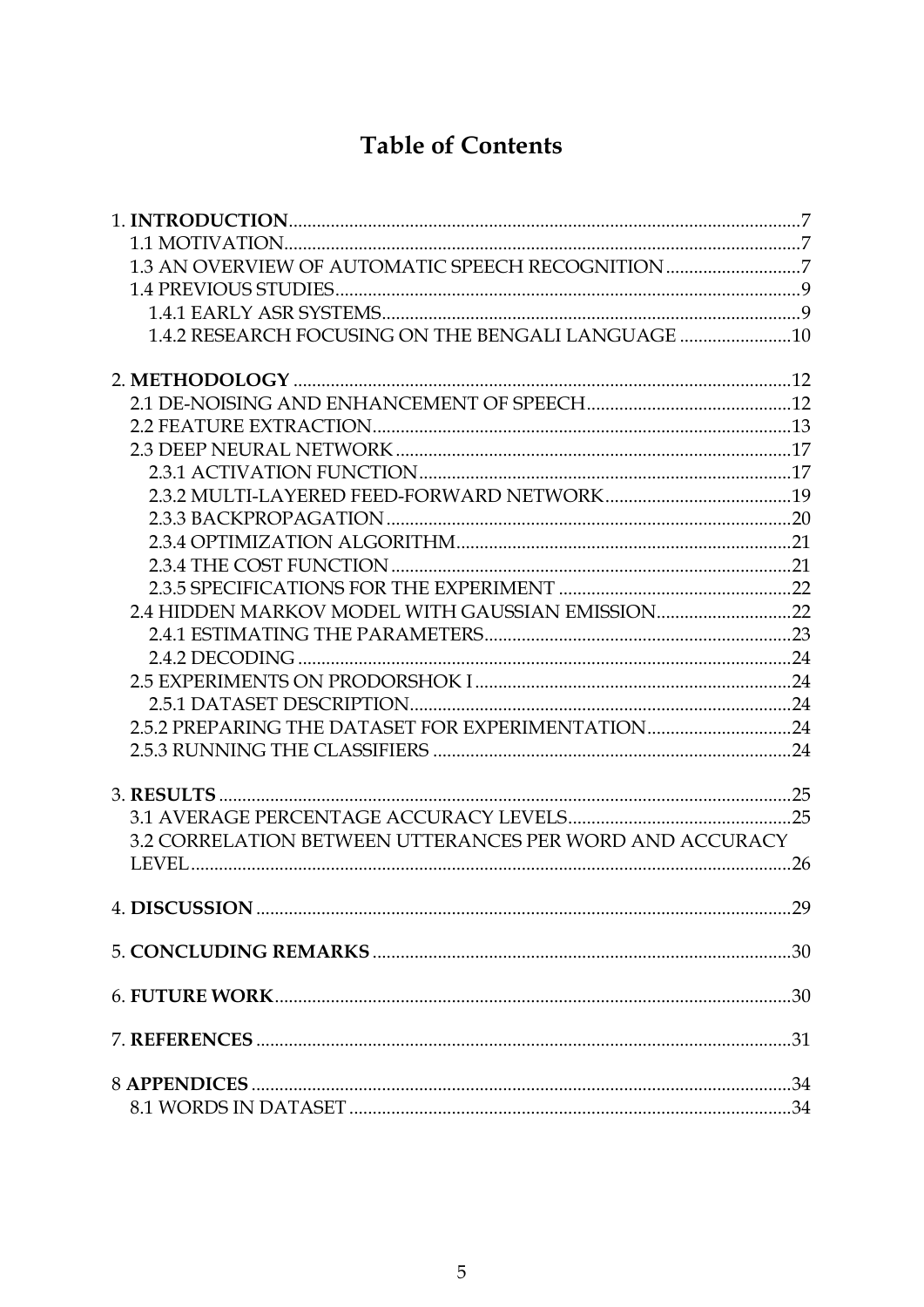# **Table of Contents**

| 1.3 AN OVERVIEW OF AUTOMATIC SPEECH RECOGNITION 7        |    |
|----------------------------------------------------------|----|
|                                                          |    |
|                                                          |    |
| 1.4.2 RESEARCH FOCUSING ON THE BENGALI LANGUAGE          |    |
|                                                          |    |
|                                                          |    |
|                                                          |    |
|                                                          |    |
|                                                          |    |
|                                                          |    |
|                                                          |    |
|                                                          |    |
|                                                          |    |
|                                                          |    |
| 2.4 HIDDEN MARKOV MODEL WITH GAUSSIAN EMISSION22         |    |
|                                                          |    |
|                                                          |    |
|                                                          |    |
|                                                          |    |
| 2.5.2 PREPARING THE DATASET FOR EXPERIMENTATION24        |    |
|                                                          |    |
|                                                          |    |
|                                                          |    |
| 3.2 CORRELATION BETWEEN UTTERANCES PER WORD AND ACCURACY |    |
|                                                          | 26 |
|                                                          |    |
|                                                          |    |
|                                                          |    |
|                                                          |    |
|                                                          |    |
|                                                          |    |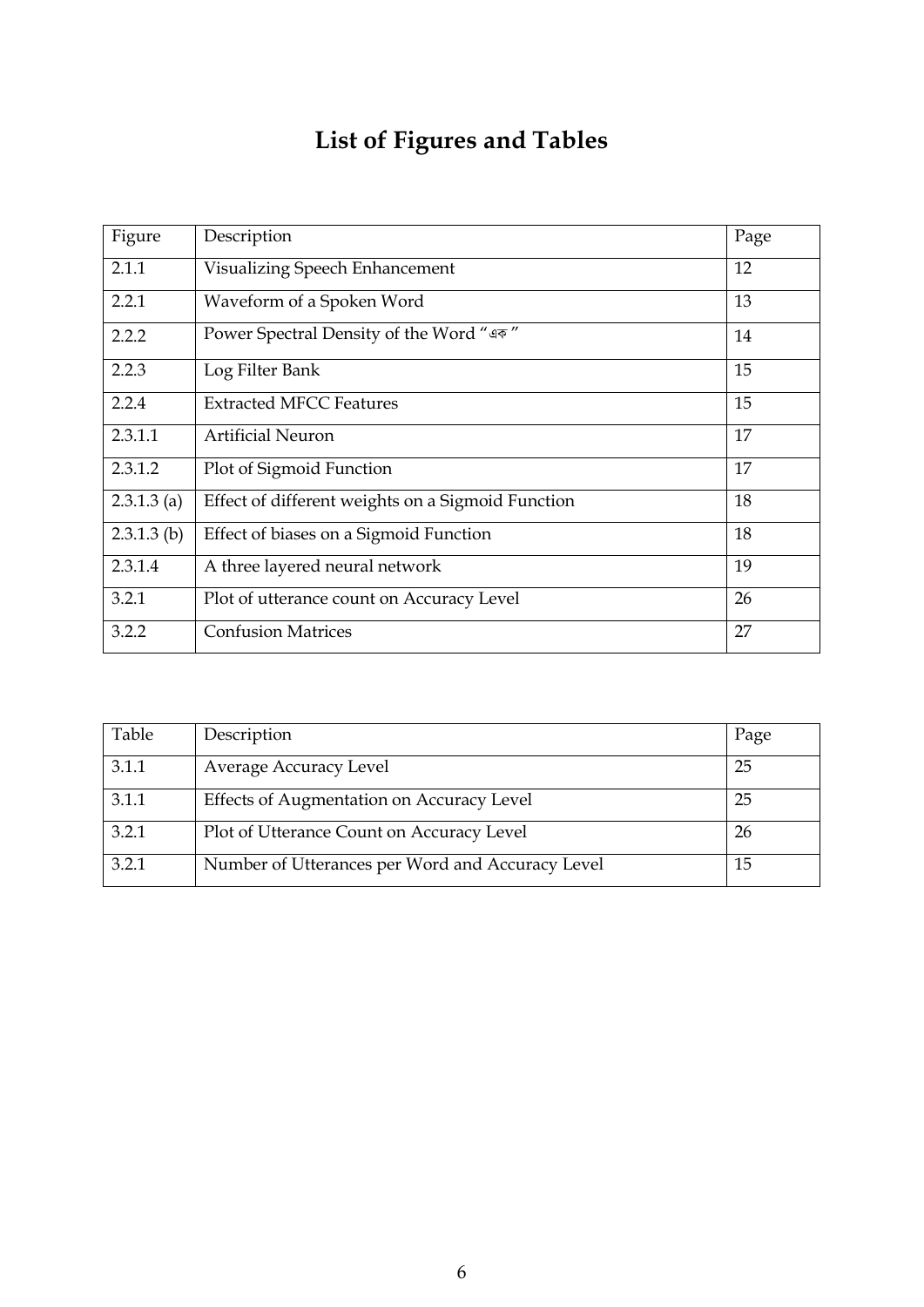# **List of Figures and Tables**

| Figure        | Description                                       | Page |
|---------------|---------------------------------------------------|------|
| 2.1.1         | Visualizing Speech Enhancement                    |      |
| 2.2.1         | Waveform of a Spoken Word                         |      |
| 2.2.2         | Power Spectral Density of the Word "এক"           | 14   |
| 2.2.3         | Log Filter Bank                                   | 15   |
| 2.2.4         | <b>Extracted MFCC Features</b>                    | 15   |
| 2.3.1.1       | <b>Artificial Neuron</b>                          | 17   |
| 2.3.1.2       | Plot of Sigmoid Function                          | 17   |
| $2.3.1.3$ (a) | Effect of different weights on a Sigmoid Function | 18   |
| $2.3.1.3$ (b) | Effect of biases on a Sigmoid Function            | 18   |
| 2.3.1.4       | A three layered neural network                    | 19   |
| 3.2.1         | Plot of utterance count on Accuracy Level         |      |
| 3.2.2         | <b>Confusion Matrices</b>                         | 27   |

| Table | Description                                      | Page |
|-------|--------------------------------------------------|------|
| 3.1.1 | Average Accuracy Level                           | 25   |
| 3.1.1 | Effects of Augmentation on Accuracy Level        | 25   |
| 3.2.1 | Plot of Utterance Count on Accuracy Level        | -26  |
| 3.2.1 | Number of Utterances per Word and Accuracy Level | 15   |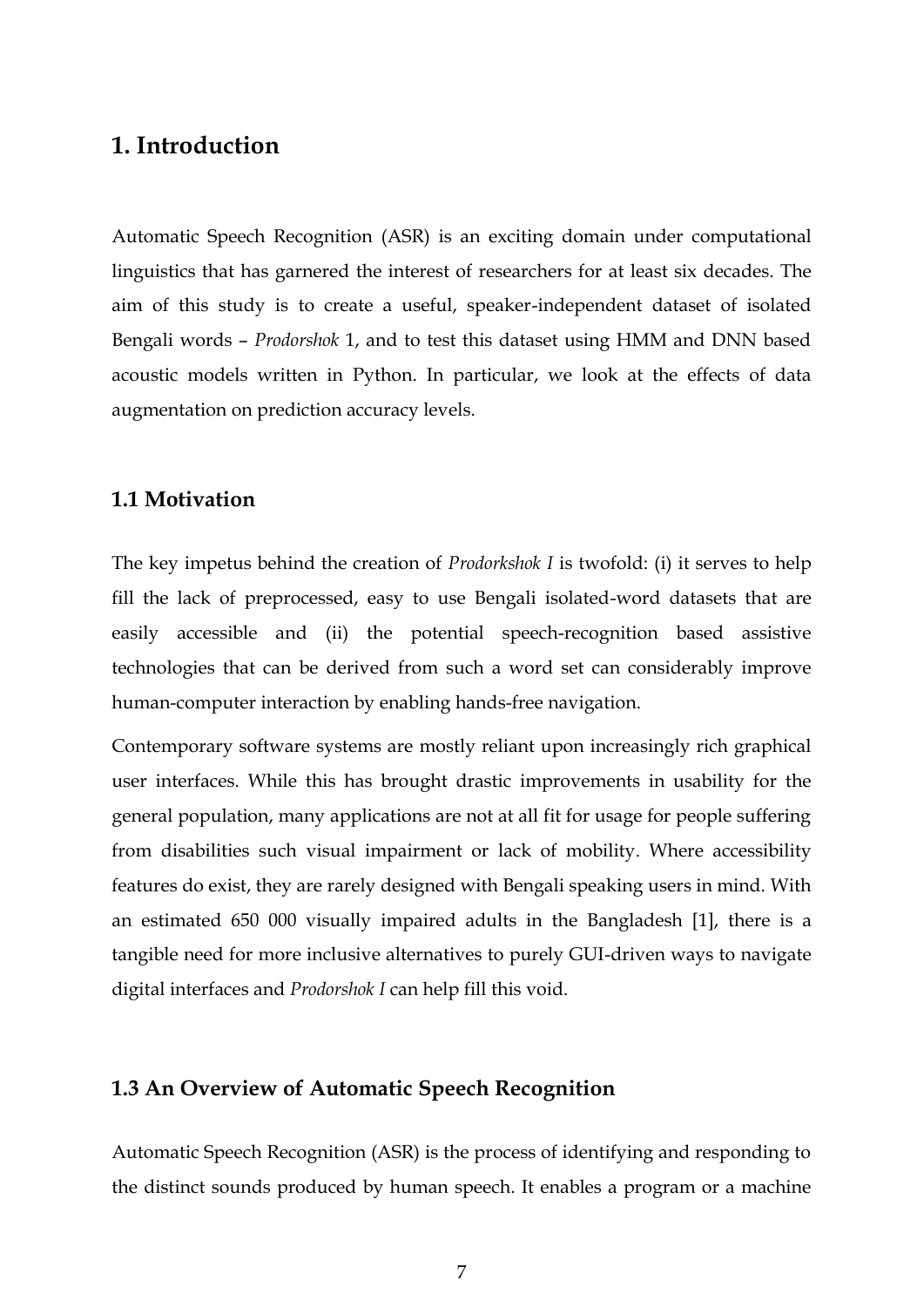### <span id="page-6-0"></span>**1. Introduction**

Automatic Speech Recognition (ASR) is an exciting domain under computational linguistics that has garnered the interest of researchers for at least six decades. The aim of this study is to create a useful, speaker-independent dataset of isolated Bengali words – *Prodorshok* 1, and to test this dataset using HMM and DNN based acoustic models written in Python. In particular, we look at the effects of data augmentation on prediction accuracy levels.

#### <span id="page-6-1"></span>**1.1 Motivation**

The key impetus behind the creation of *Prodorkshok I* is twofold: (i) it serves to help fill the lack of preprocessed, easy to use Bengali isolated-word datasets that are easily accessible and (ii) the potential speech-recognition based assistive technologies that can be derived from such a word set can considerably improve human-computer interaction by enabling hands-free navigation.

Contemporary software systems are mostly reliant upon increasingly rich graphical user interfaces. While this has brought drastic improvements in usability for the general population, many applications are not at all fit for usage for people suffering from disabilities such visual impairment or lack of mobility. Where accessibility features do exist, they are rarely designed with Bengali speaking users in mind. With an estimated 650 000 visually impaired adults in the Bangladesh [1], there is a tangible need for more inclusive alternatives to purely GUI-driven ways to navigate digital interfaces and *Prodorshok I* can help fill this void.

#### <span id="page-6-2"></span>**1.3 An Overview of Automatic Speech Recognition**

Automatic Speech Recognition (ASR) is the process of identifying and responding to the distinct sounds produced by human speech. It enables a program or a machine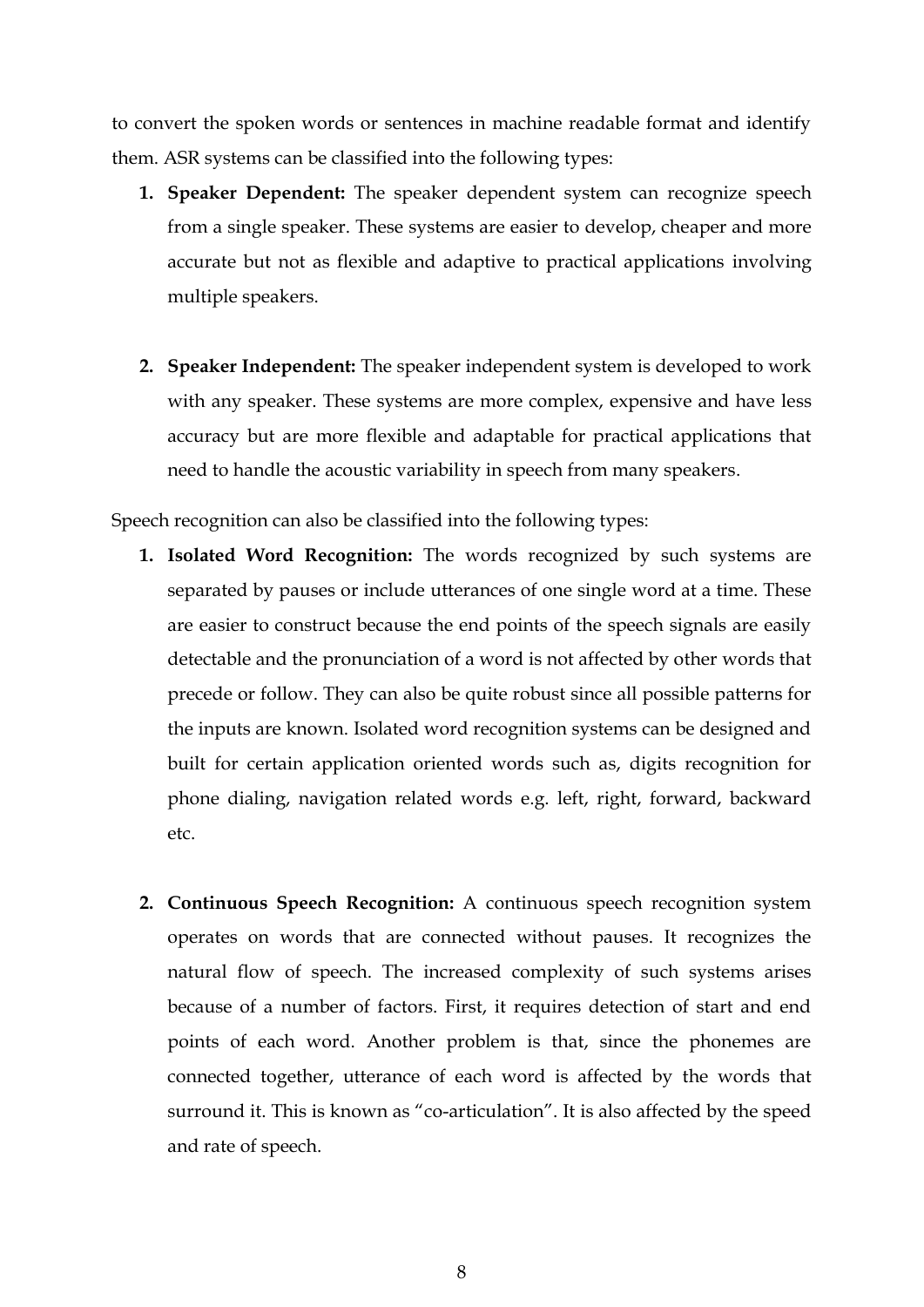to convert the spoken words or sentences in machine readable format and identify them. ASR systems can be classified into the following types:

- **1. Speaker Dependent:** The speaker dependent system can recognize speech from a single speaker. These systems are easier to develop, cheaper and more accurate but not as flexible and adaptive to practical applications involving multiple speakers.
- **2. Speaker Independent:** The speaker independent system is developed to work with any speaker. These systems are more complex, expensive and have less accuracy but are more flexible and adaptable for practical applications that need to handle the acoustic variability in speech from many speakers.

Speech recognition can also be classified into the following types:

- **1. Isolated Word Recognition:** The words recognized by such systems are separated by pauses or include utterances of one single word at a time. These are easier to construct because the end points of the speech signals are easily detectable and the pronunciation of a word is not affected by other words that precede or follow. They can also be quite robust since all possible patterns for the inputs are known. Isolated word recognition systems can be designed and built for certain application oriented words such as, digits recognition for phone dialing, navigation related words e.g. left, right, forward, backward etc.
- **2. Continuous Speech Recognition:** A continuous speech recognition system operates on words that are connected without pauses. It recognizes the natural flow of speech. The increased complexity of such systems arises because of a number of factors. First, it requires detection of start and end points of each word. Another problem is that, since the phonemes are connected together, utterance of each word is affected by the words that surround it. This is known as "co-articulation". It is also affected by the speed and rate of speech.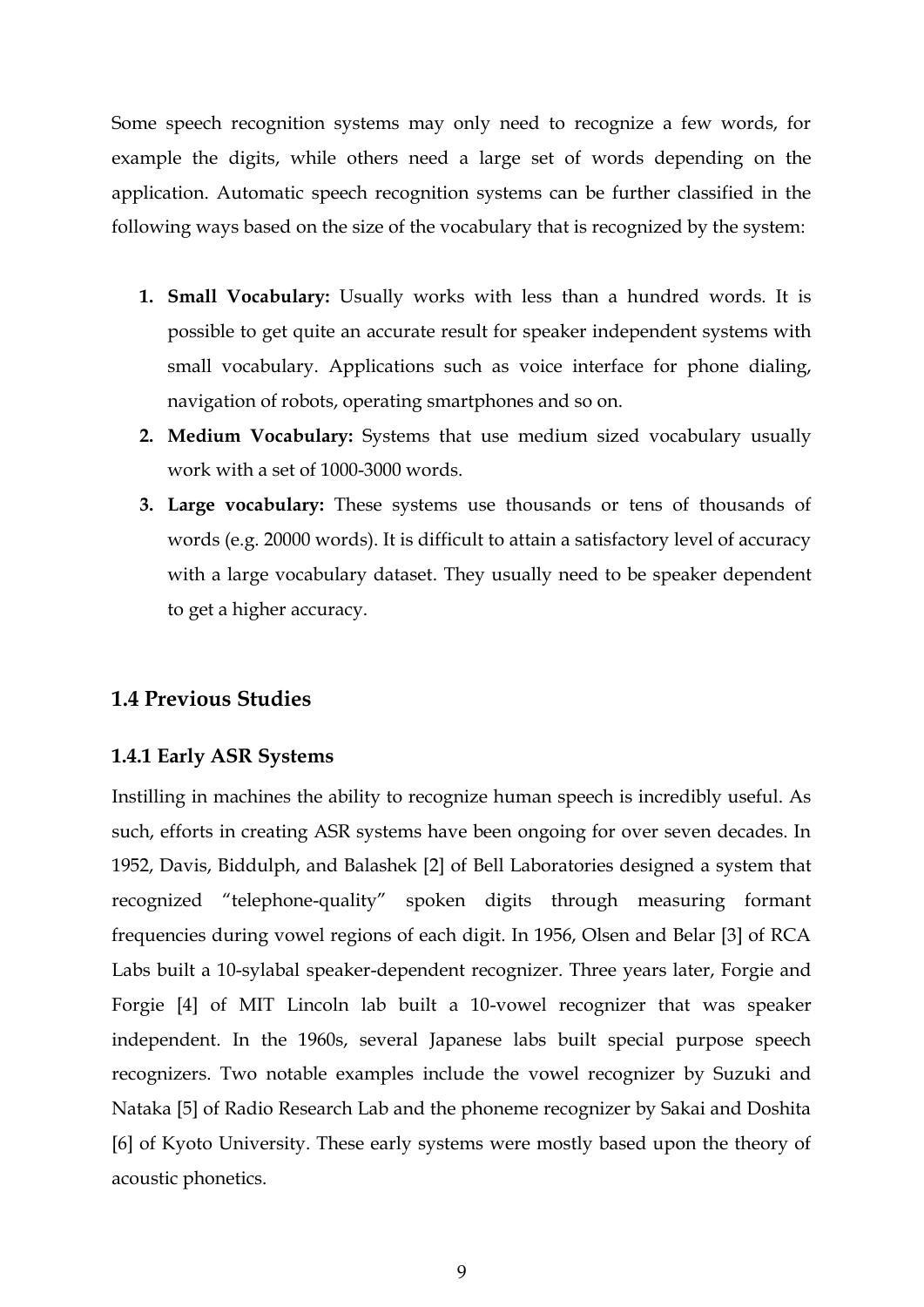Some speech recognition systems may only need to recognize a few words, for example the digits, while others need a large set of words depending on the application. Automatic speech recognition systems can be further classified in the following ways based on the size of the vocabulary that is recognized by the system:

- **1. Small Vocabulary:** Usually works with less than a hundred words. It is possible to get quite an accurate result for speaker independent systems with small vocabulary. Applications such as voice interface for phone dialing, navigation of robots, operating smartphones and so on.
- **2. Medium Vocabulary:** Systems that use medium sized vocabulary usually work with a set of 1000-3000 words.
- **3. Large vocabulary:** These systems use thousands or tens of thousands of words (e.g. 20000 words). It is difficult to attain a satisfactory level of accuracy with a large vocabulary dataset. They usually need to be speaker dependent to get a higher accuracy.

#### <span id="page-8-0"></span>**1.4 Previous Studies**

#### <span id="page-8-1"></span>**1.4.1 Early ASR Systems**

Instilling in machines the ability to recognize human speech is incredibly useful. As such, efforts in creating ASR systems have been ongoing for over seven decades. In 1952, Davis, Biddulph, and Balashek [2] of Bell Laboratories designed a system that recognized "telephone-quality" spoken digits through measuring formant frequencies during vowel regions of each digit. In 1956, Olsen and Belar [3] of RCA Labs built a 10-sylabal speaker-dependent recognizer. Three years later, Forgie and Forgie [4] of MIT Lincoln lab built a 10-vowel recognizer that was speaker independent. In the 1960s, several Japanese labs built special purpose speech recognizers. Two notable examples include the vowel recognizer by Suzuki and Nataka [5] of Radio Research Lab and the phoneme recognizer by Sakai and Doshita [6] of Kyoto University. These early systems were mostly based upon the theory of acoustic phonetics.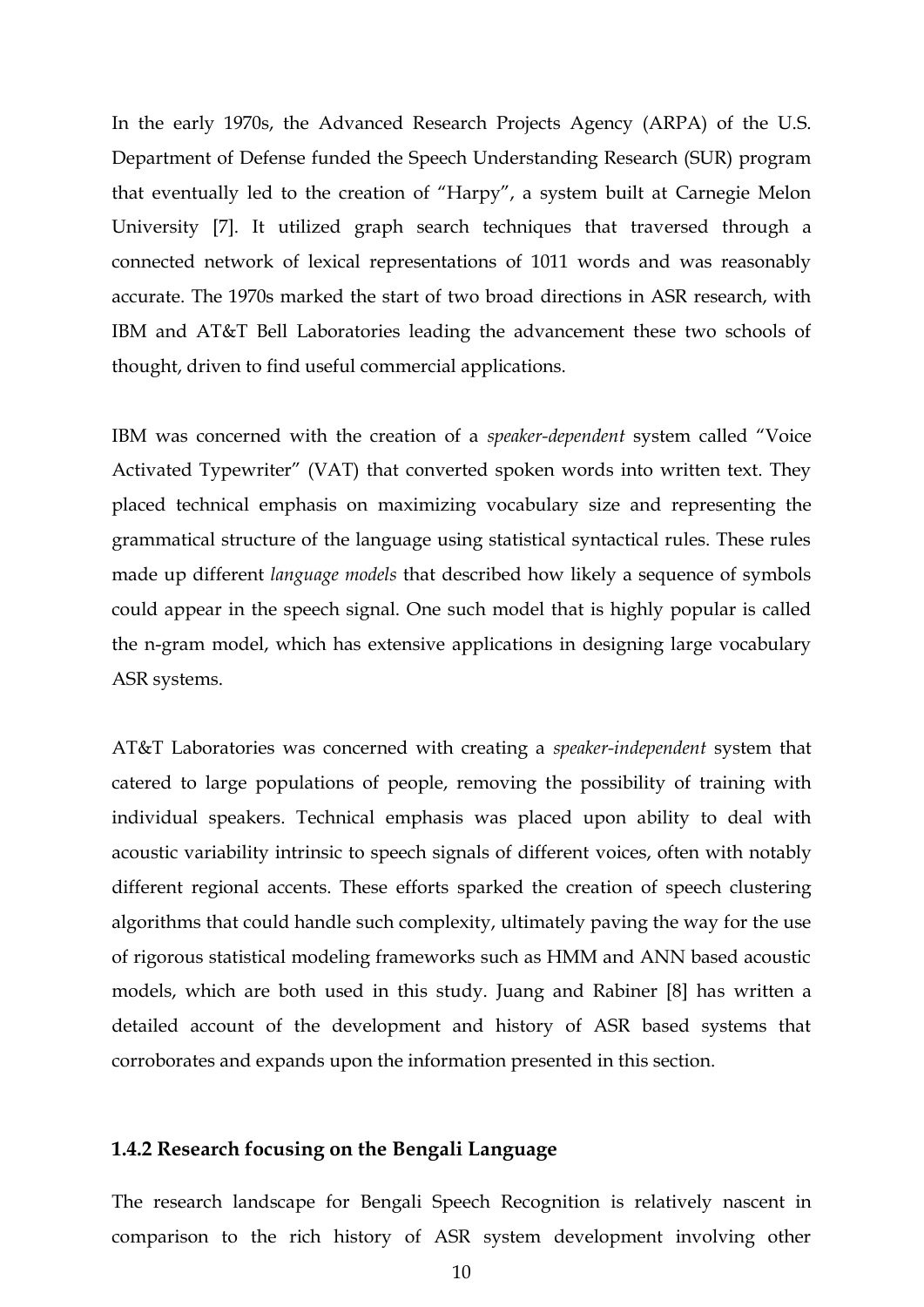In the early 1970s, the Advanced Research Projects Agency (ARPA) of the U.S. Department of Defense funded the Speech Understanding Research (SUR) program that eventually led to the creation of "Harpy", a system built at Carnegie Melon University [7]. It utilized graph search techniques that traversed through a connected network of lexical representations of 1011 words and was reasonably accurate. The 1970s marked the start of two broad directions in ASR research, with IBM and AT&T Bell Laboratories leading the advancement these two schools of thought, driven to find useful commercial applications.

IBM was concerned with the creation of a *speaker-dependent* system called "Voice Activated Typewriter" (VAT) that converted spoken words into written text. They placed technical emphasis on maximizing vocabulary size and representing the grammatical structure of the language using statistical syntactical rules. These rules made up different *language models* that described how likely a sequence of symbols could appear in the speech signal. One such model that is highly popular is called the n-gram model, which has extensive applications in designing large vocabulary ASR systems.

AT&T Laboratories was concerned with creating a *speaker-independent* system that catered to large populations of people, removing the possibility of training with individual speakers. Technical emphasis was placed upon ability to deal with acoustic variability intrinsic to speech signals of different voices, often with notably different regional accents. These efforts sparked the creation of speech clustering algorithms that could handle such complexity, ultimately paving the way for the use of rigorous statistical modeling frameworks such as HMM and ANN based acoustic models, which are both used in this study. Juang and Rabiner [8] has written a detailed account of the development and history of ASR based systems that corroborates and expands upon the information presented in this section.

#### <span id="page-9-0"></span>**1.4.2 Research focusing on the Bengali Language**

The research landscape for Bengali Speech Recognition is relatively nascent in comparison to the rich history of ASR system development involving other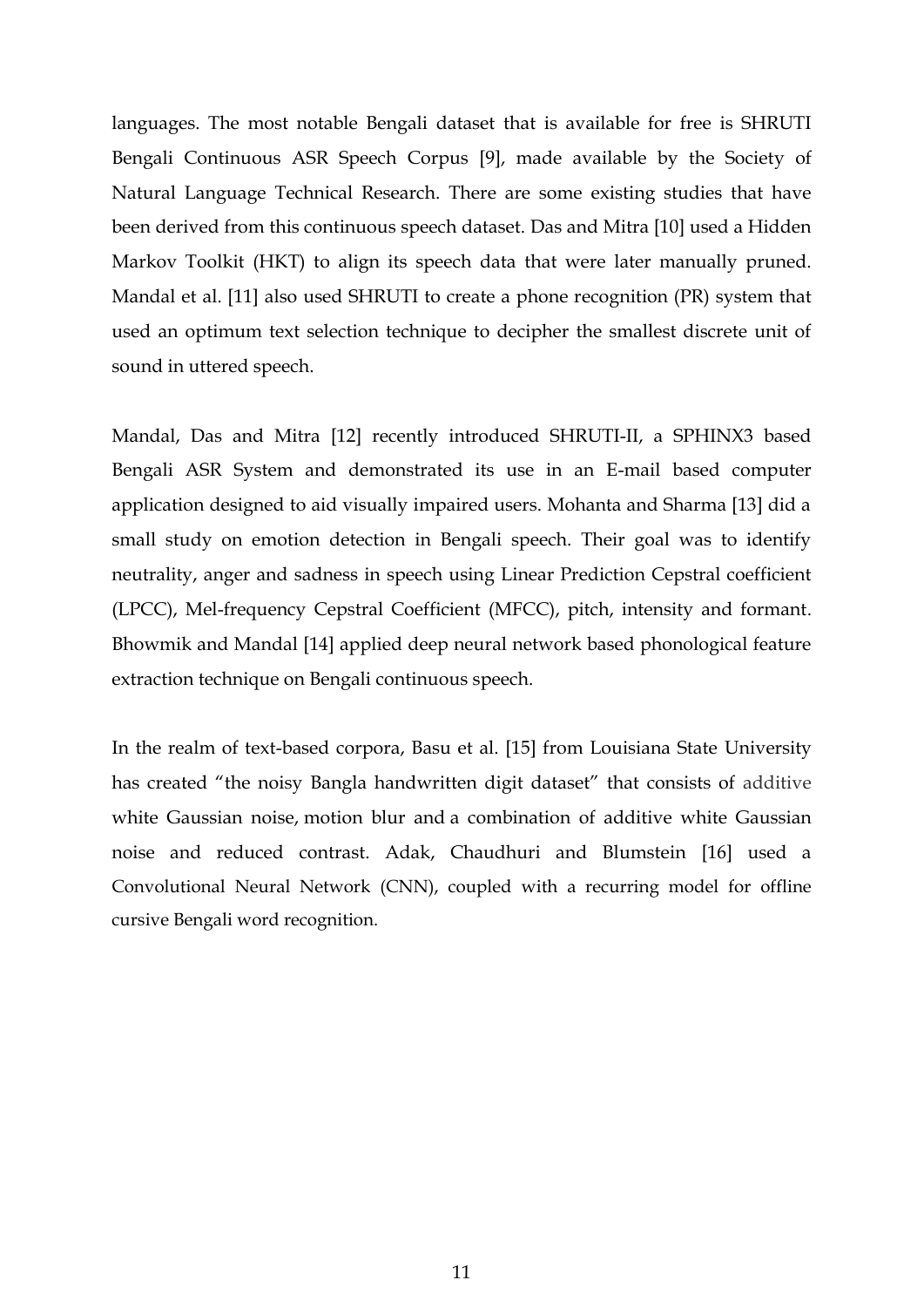languages. The most notable Bengali dataset that is available for free is SHRUTI Bengali Continuous ASR Speech Corpus [9], made available by the Society of Natural Language Technical Research. There are some existing studies that have been derived from this continuous speech dataset. Das and Mitra [10] used a Hidden Markov Toolkit (HKT) to align its speech data that were later manually pruned. Mandal et al. [11] also used SHRUTI to create a phone recognition (PR) system that used an optimum text selection technique to decipher the smallest discrete unit of sound in uttered speech.

Mandal, Das and Mitra [12] recently introduced SHRUTI-II, a SPHINX3 based Bengali ASR System and demonstrated its use in an E-mail based computer application designed to aid visually impaired users. Mohanta and Sharma [13] did a small study on emotion detection in Bengali speech. Their goal was to identify neutrality, anger and sadness in speech using Linear Prediction Cepstral coefficient (LPCC), Mel-frequency Cepstral Coefficient (MFCC), pitch, intensity and formant. Bhowmik and Mandal [14] applied deep neural network based phonological feature extraction technique on Bengali continuous speech.

In the realm of text-based corpora, Basu et al. [15] from Louisiana State University has created "the noisy Bangla handwritten digit dataset" that consists of additive white Gaussian noise, motion blur and a combination of additive white Gaussian noise and reduced contrast. Adak, Chaudhuri and Blumstein [16] used a Convolutional Neural Network (CNN), coupled with a recurring model for offline cursive Bengali word recognition.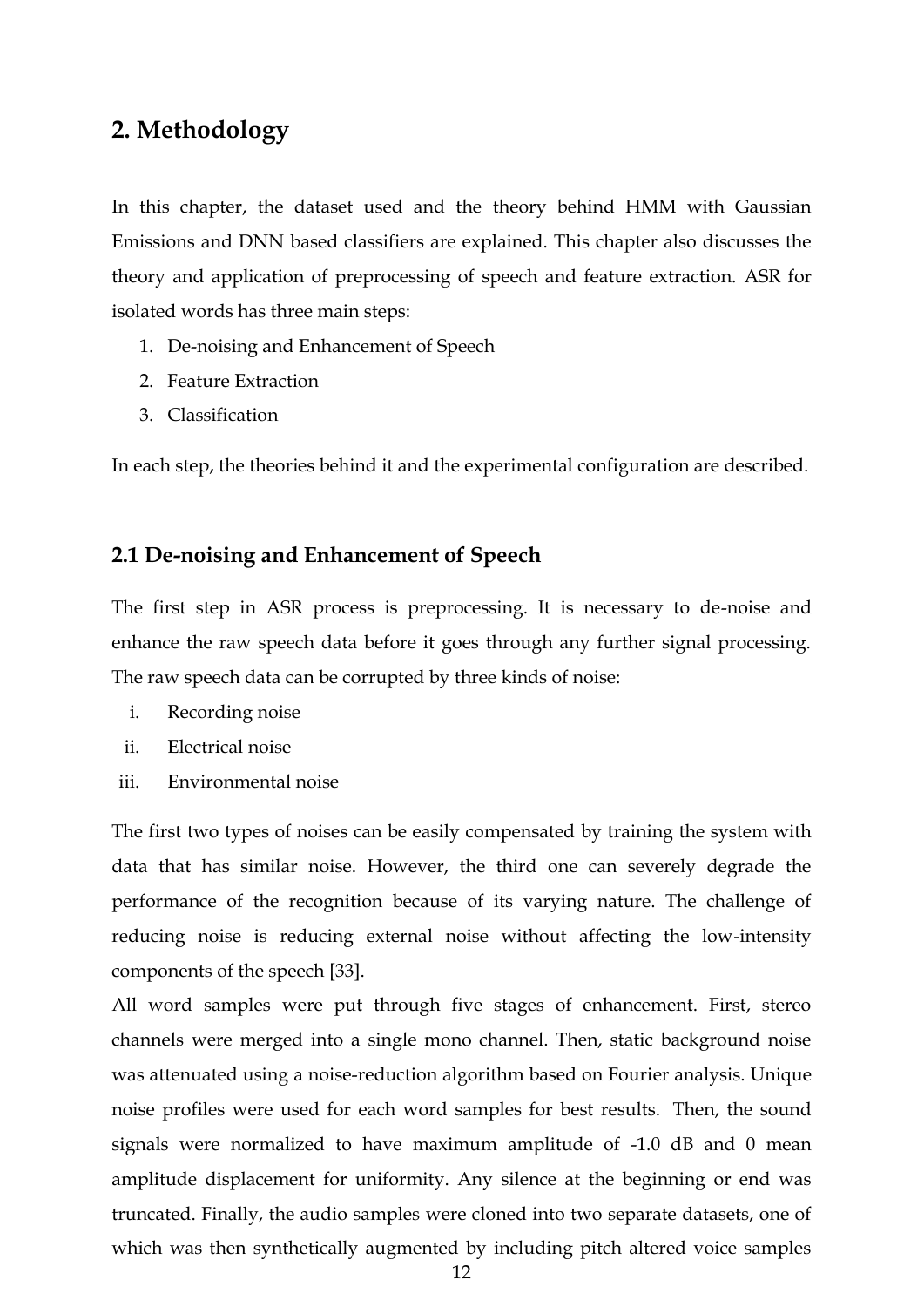# <span id="page-11-0"></span>**2. Methodology**

In this chapter, the dataset used and the theory behind HMM with Gaussian Emissions and DNN based classifiers are explained. This chapter also discusses the theory and application of preprocessing of speech and feature extraction. ASR for isolated words has three main steps:

- 1. De-noising and Enhancement of Speech
- 2. Feature Extraction
- 3. Classification

In each step, the theories behind it and the experimental configuration are described.

#### <span id="page-11-1"></span>**2.1 De-noising and Enhancement of Speech**

The first step in ASR process is preprocessing. It is necessary to de-noise and enhance the raw speech data before it goes through any further signal processing. The raw speech data can be corrupted by three kinds of noise:

- i. Recording noise
- ii. Electrical noise
- iii. Environmental noise

The first two types of noises can be easily compensated by training the system with data that has similar noise. However, the third one can severely degrade the performance of the recognition because of its varying nature. The challenge of reducing noise is reducing external noise without affecting the low-intensity components of the speech [33].

All word samples were put through five stages of enhancement. First, stereo channels were merged into a single mono channel. Then, static background noise was attenuated using a noise-reduction algorithm based on Fourier analysis. Unique noise profiles were used for each word samples for best results. Then, the sound signals were normalized to have maximum amplitude of -1.0 dB and 0 mean amplitude displacement for uniformity. Any silence at the beginning or end was truncated. Finally, the audio samples were cloned into two separate datasets, one of which was then synthetically augmented by including pitch altered voice samples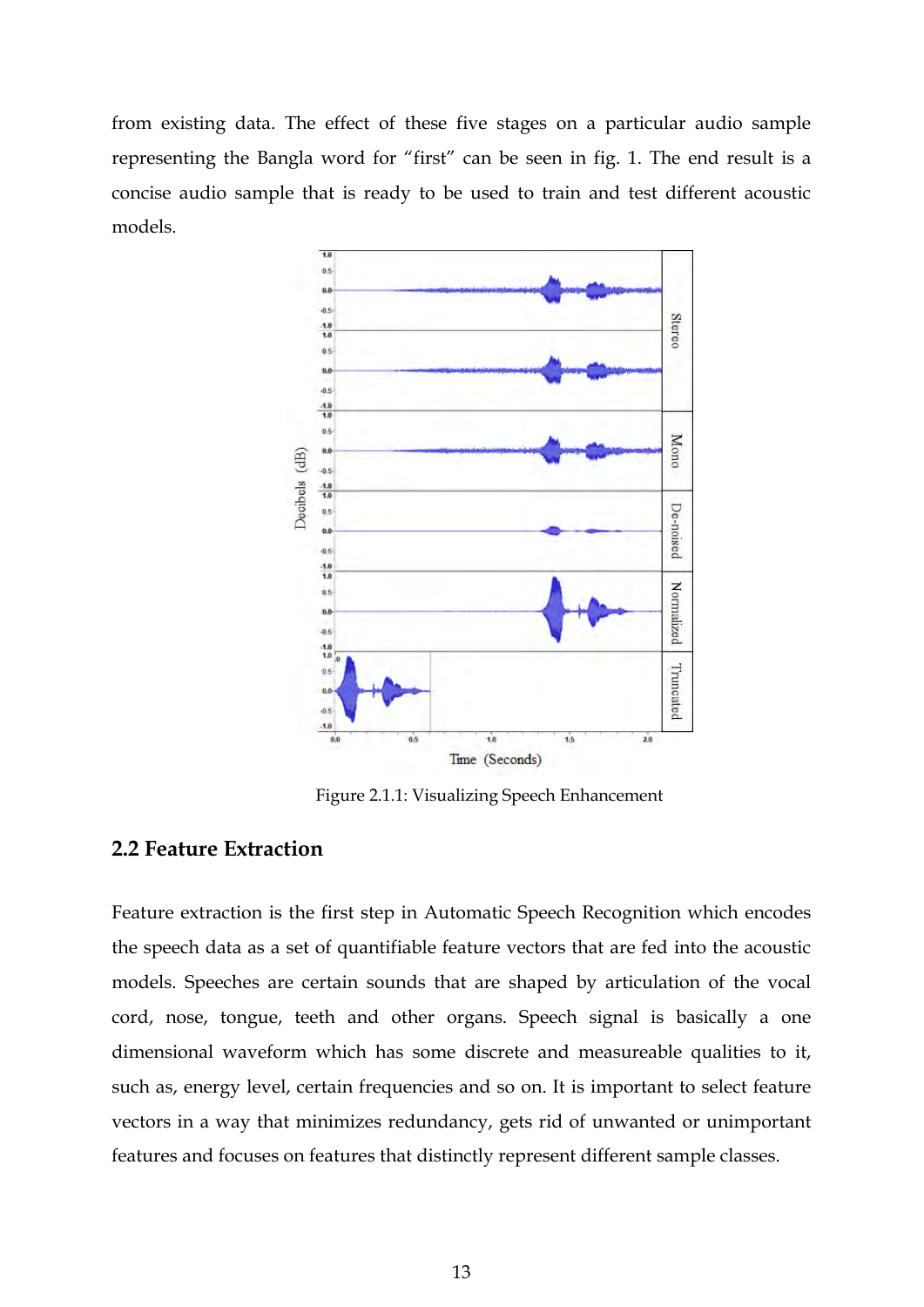from existing data. The effect of these five stages on a particular audio sample representing the Bangla word for "first" can be seen in fig. 1. The end result is a concise audio sample that is ready to be used to train and test different acoustic models.



Figure 2.1.1: Visualizing Speech Enhancement

#### <span id="page-12-0"></span>**2.2 Feature Extraction**

Feature extraction is the first step in Automatic Speech Recognition which encodes the speech data as a set of quantifiable feature vectors that are fed into the acoustic models. Speeches are certain sounds that are shaped by articulation of the vocal cord, nose, tongue, teeth and other organs. Speech signal is basically a one dimensional waveform which has some discrete and measureable qualities to it, such as, energy level, certain frequencies and so on. It is important to select feature vectors in a way that minimizes redundancy, gets rid of unwanted or unimportant features and focuses on features that distinctly represent different sample classes.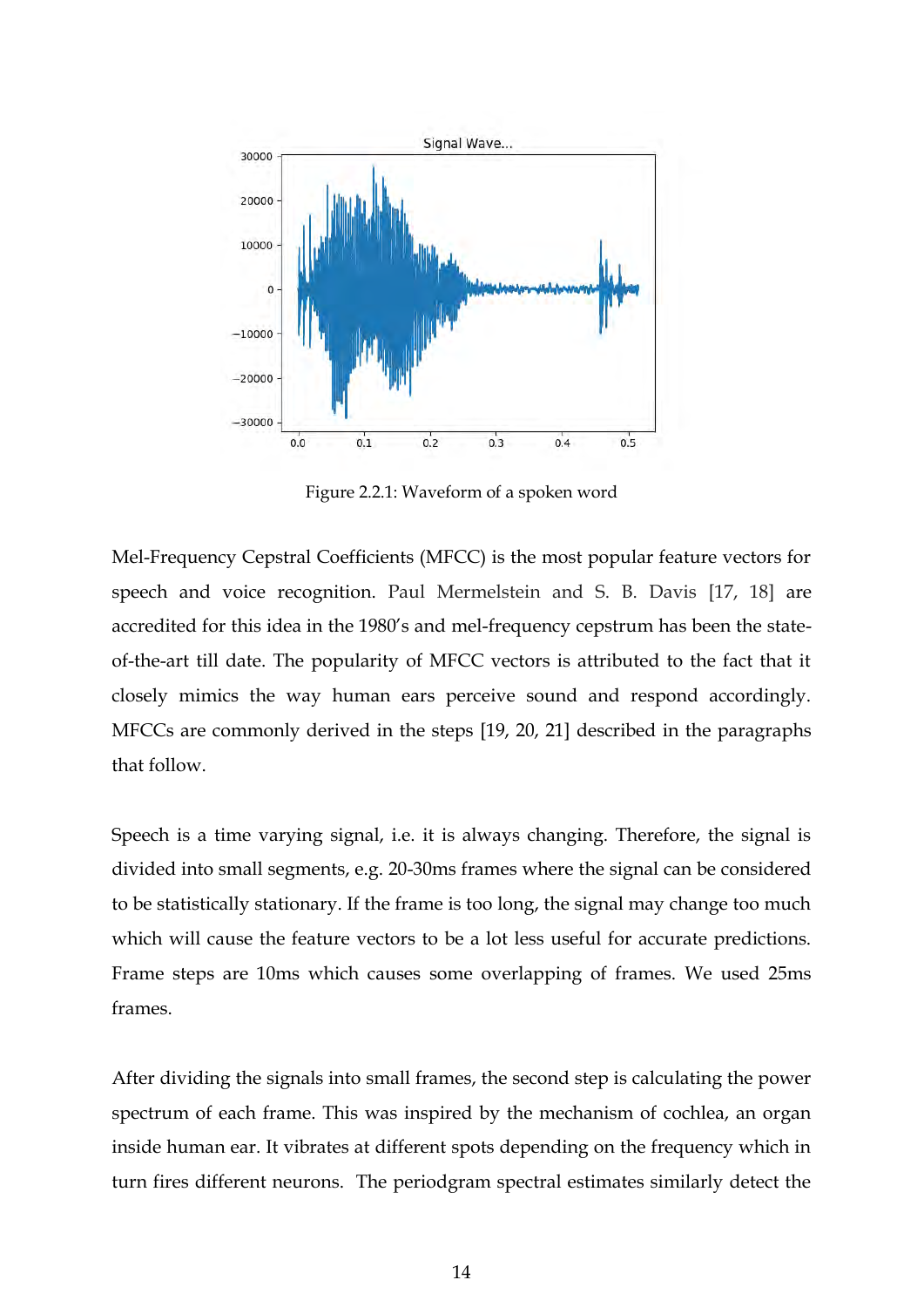

Figure 2.2.1: Waveform of a spoken word

Mel-Frequency Cepstral Coefficients (MFCC) is the most popular feature vectors for speech and voice recognition. Paul Mermelstein and S. B. Davis [17, 18] are accredited for this idea in the 1980's and mel-frequency cepstrum has been the stateof-the-art till date. The popularity of MFCC vectors is attributed to the fact that it closely mimics the way human ears perceive sound and respond accordingly. MFCCs are commonly derived in the steps [19, 20, 21] described in the paragraphs that follow.

Speech is a time varying signal, i.e. it is always changing. Therefore, the signal is divided into small segments, e.g. 20-30ms frames where the signal can be considered to be statistically stationary. If the frame is too long, the signal may change too much which will cause the feature vectors to be a lot less useful for accurate predictions. Frame steps are 10ms which causes some overlapping of frames. We used 25ms frames.

After dividing the signals into small frames, the second step is calculating the power spectrum of each frame. This was inspired by the mechanism of cochlea, an organ inside human ear. It vibrates at different spots depending on the frequency which in turn fires different neurons. The periodgram spectral estimates similarly detect the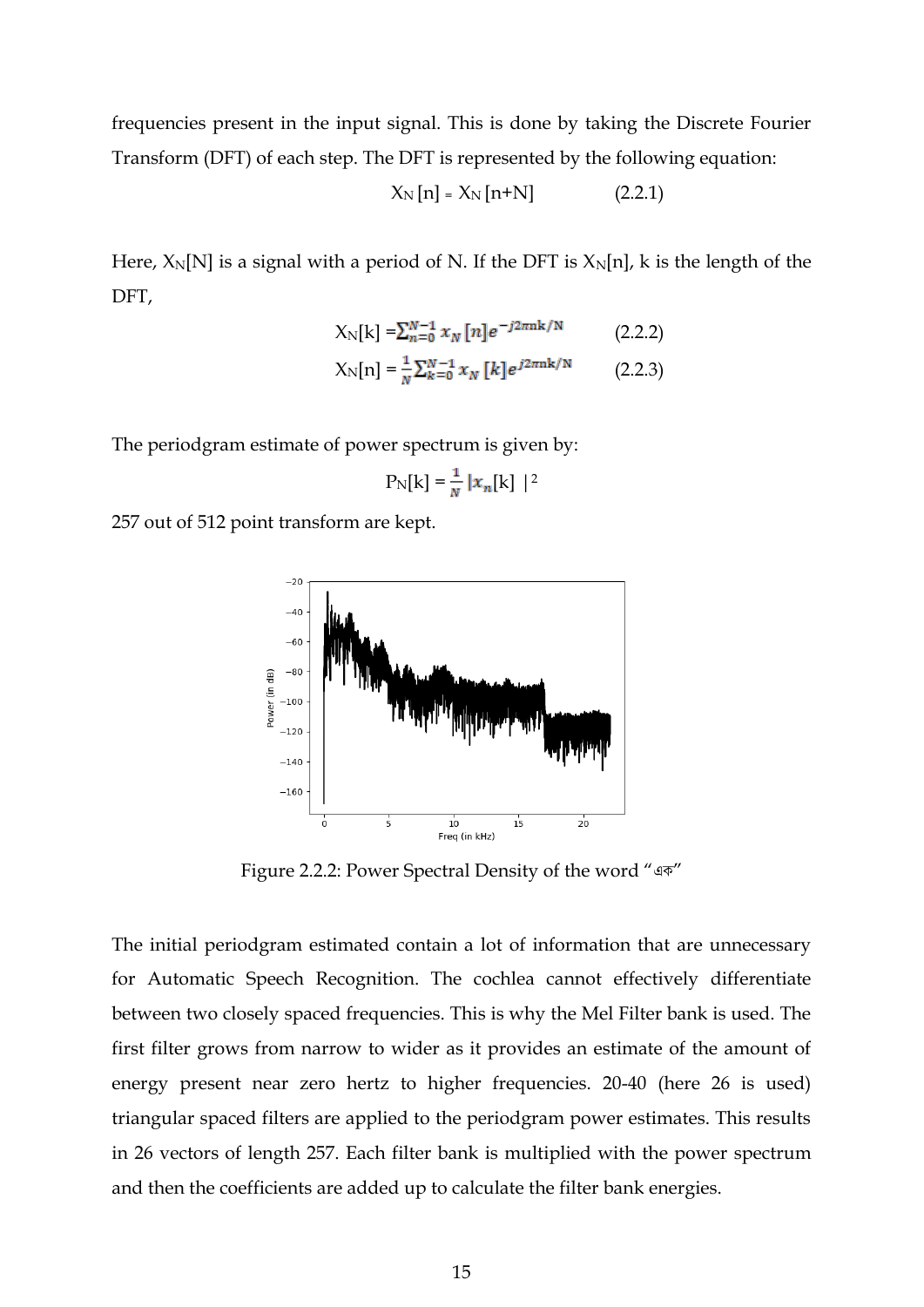frequencies present in the input signal. This is done by taking the Discrete Fourier Transform (DFT) of each step. The DFT is represented by the following equation:

$$
X_N[n] = X_N[n+N]
$$
 (2.2.1)

Here,  $X_N[N]$  is a signal with a period of N. If the DFT is  $X_N[n]$ , k is the length of the DFT,

$$
X_N[k] = \sum_{n=0}^{N-1} x_N[n] e^{-j2\pi nk/N}
$$
 (2.2.2)

$$
X_N[n] = \frac{1}{N} \sum_{k=0}^{N-1} x_N [k] e^{j2\pi n k/N}
$$
 (2.2.3)

The periodgram estimate of power spectrum is given by:

$$
P_N[k] = \frac{1}{N} |x_n[k]|^2
$$

257 out of 512 point transform are kept.



Figure 2.2.2: Power Spectral Density of the word "এক"

The initial periodgram estimated contain a lot of information that are unnecessary for Automatic Speech Recognition. The cochlea cannot effectively differentiate between two closely spaced frequencies. This is why the Mel Filter bank is used. The first filter grows from narrow to wider as it provides an estimate of the amount of energy present near zero hertz to higher frequencies. 20-40 (here 26 is used) triangular spaced filters are applied to the periodgram power estimates. This results in 26 vectors of length 257. Each filter bank is multiplied with the power spectrum and then the coefficients are added up to calculate the filter bank energies.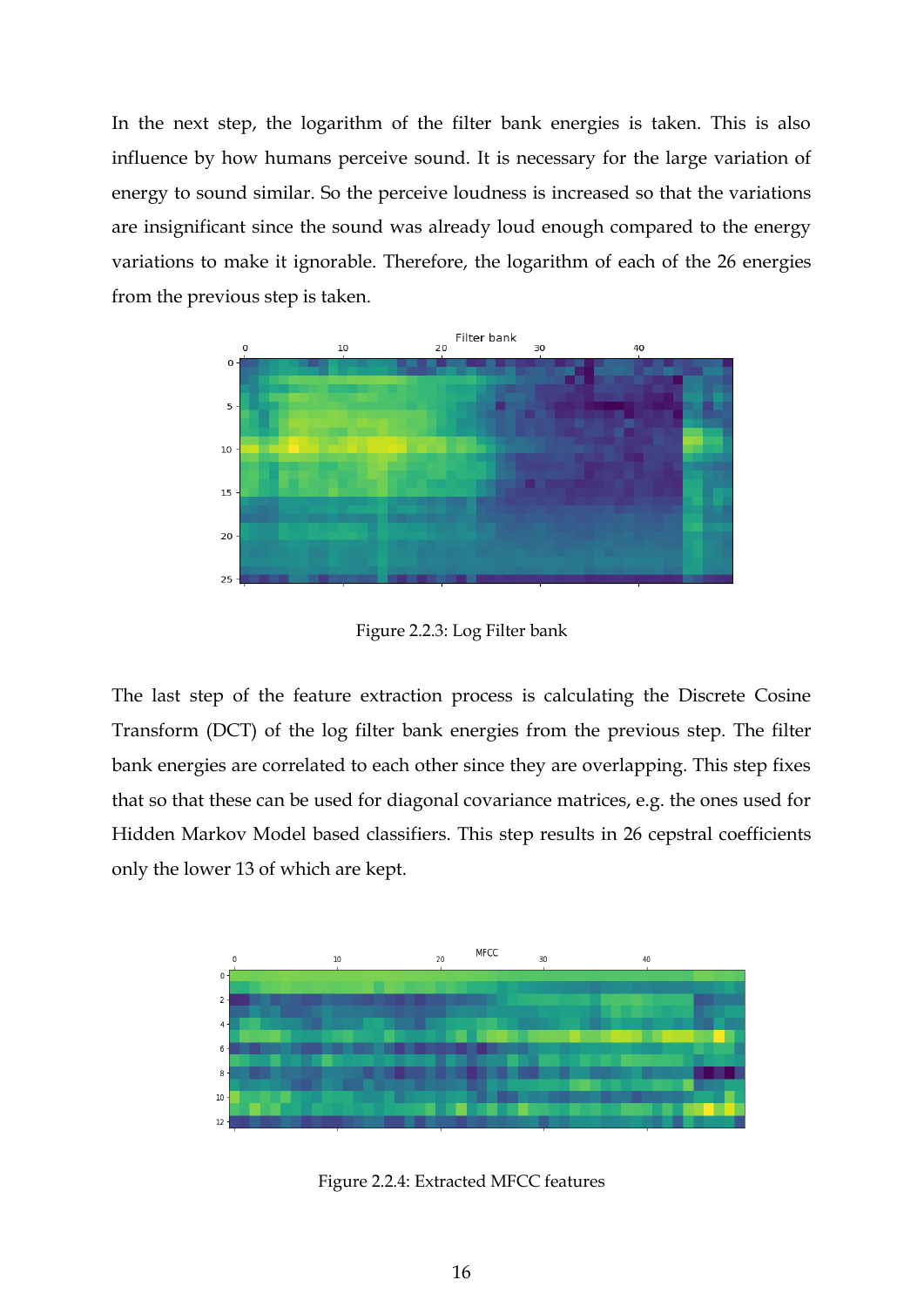In the next step, the logarithm of the filter bank energies is taken. This is also influence by how humans perceive sound. It is necessary for the large variation of energy to sound similar. So the perceive loudness is increased so that the variations are insignificant since the sound was already loud enough compared to the energy variations to make it ignorable. Therefore, the logarithm of each of the 26 energies from the previous step is taken.



Figure 2.2.3: Log Filter bank

The last step of the feature extraction process is calculating the Discrete Cosine Transform (DCT) of the log filter bank energies from the previous step. The filter bank energies are correlated to each other since they are overlapping. This step fixes that so that these can be used for diagonal covariance matrices, e.g. the ones used for Hidden Markov Model based classifiers. This step results in 26 cepstral coefficients only the lower 13 of which are kept.



Figure 2.2.4: Extracted MFCC features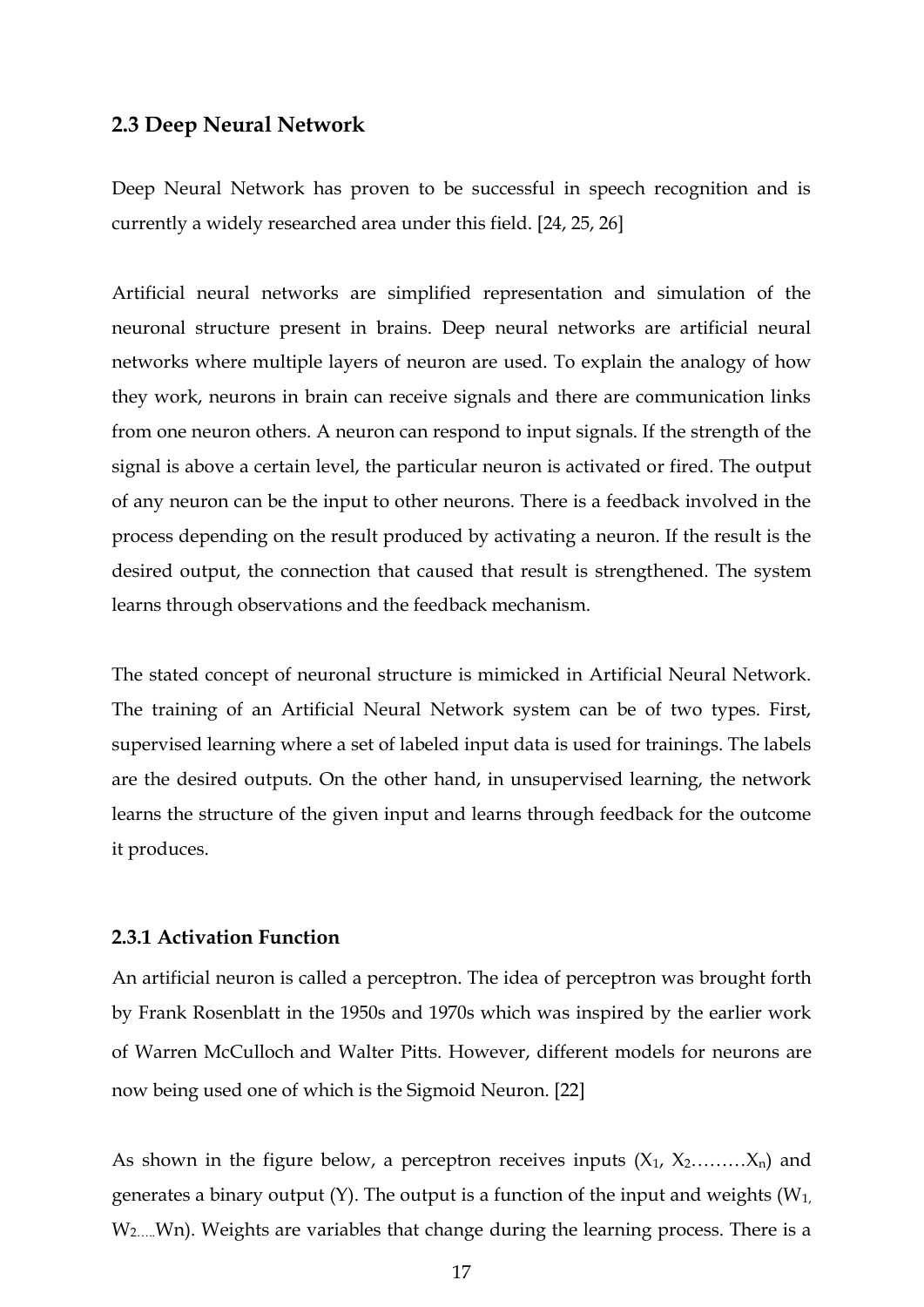#### <span id="page-16-0"></span>**2.3 Deep Neural Network**

Deep Neural Network has proven to be successful in speech recognition and is currently a widely researched area under this field. [24, 25, 26]

Artificial neural networks are simplified representation and simulation of the neuronal structure present in brains. Deep neural networks are artificial neural networks where multiple layers of neuron are used. To explain the analogy of how they work, neurons in brain can receive signals and there are communication links from one neuron others. A neuron can respond to input signals. If the strength of the signal is above a certain level, the particular neuron is activated or fired. The output of any neuron can be the input to other neurons. There is a feedback involved in the process depending on the result produced by activating a neuron. If the result is the desired output, the connection that caused that result is strengthened. The system learns through observations and the feedback mechanism.

The stated concept of neuronal structure is mimicked in Artificial Neural Network. The training of an Artificial Neural Network system can be of two types. First, supervised learning where a set of labeled input data is used for trainings. The labels are the desired outputs. On the other hand, in unsupervised learning, the network learns the structure of the given input and learns through feedback for the outcome it produces.

#### <span id="page-16-1"></span>**2.3.1 Activation Function**

An artificial neuron is called a perceptron. The idea of perceptron was brought forth by Frank Rosenblatt in the 1950s and 1970s which was inspired by the earlier work of Warren McCulloch and Walter Pitts. However, different models for neurons are now being used one of which is the Sigmoid Neuron. [22]

As shown in the figure below, a perceptron receives inputs  $(X_1, X_2, \ldots, X_n)$  and generates a binary output (Y). The output is a function of the input and weights  $(W_1,$ W<sub>2</sub>....Wn). Weights are variables that change during the learning process. There is a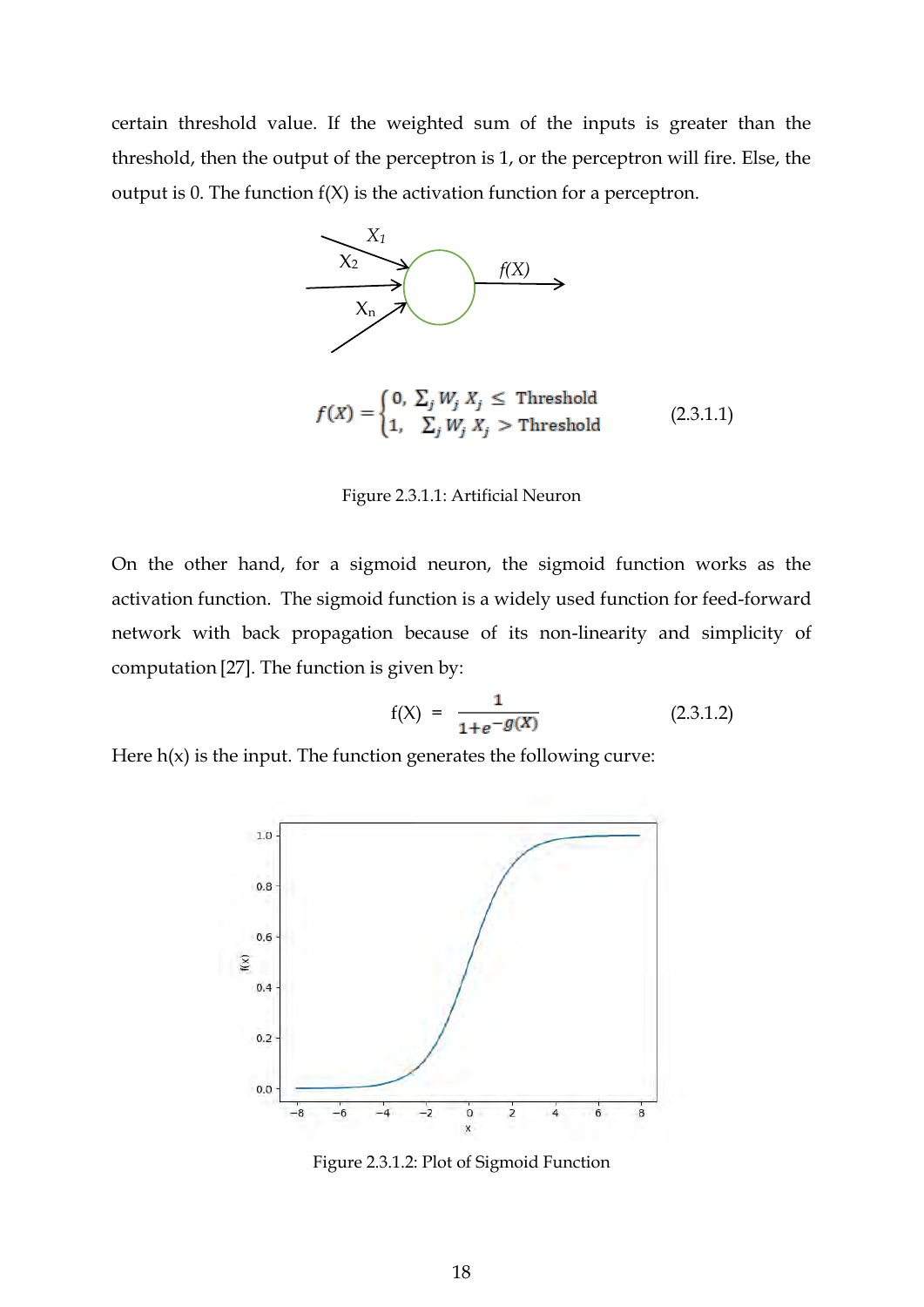certain threshold value. If the weighted sum of the inputs is greater than the threshold, then the output of the perceptron is 1, or the perceptron will fire. Else, the output is 0. The function  $f(X)$  is the activation function for a perceptron.



 $f(X) = \begin{cases} 0, & \sum_j W_j X_j \leq \text{Threshold} \\ 1, & \sum_j W_j X_j > \text{Threshold} \end{cases}$  (2.3.1.1)

Figure 2.3.1.1: Artificial Neuron

On the other hand, for a sigmoid neuron, the sigmoid function works as the activation function. The sigmoid function is a widely used function for feed-forward network with back propagation because of its non-linearity and simplicity of computation [27]. The function is given by:

$$
f(X) = \frac{1}{1 + e^{-g(X)}} \tag{2.3.1.2}
$$

Here  $h(x)$  is the input. The function generates the following curve:



Figure 2.3.1.2: Plot of Sigmoid Function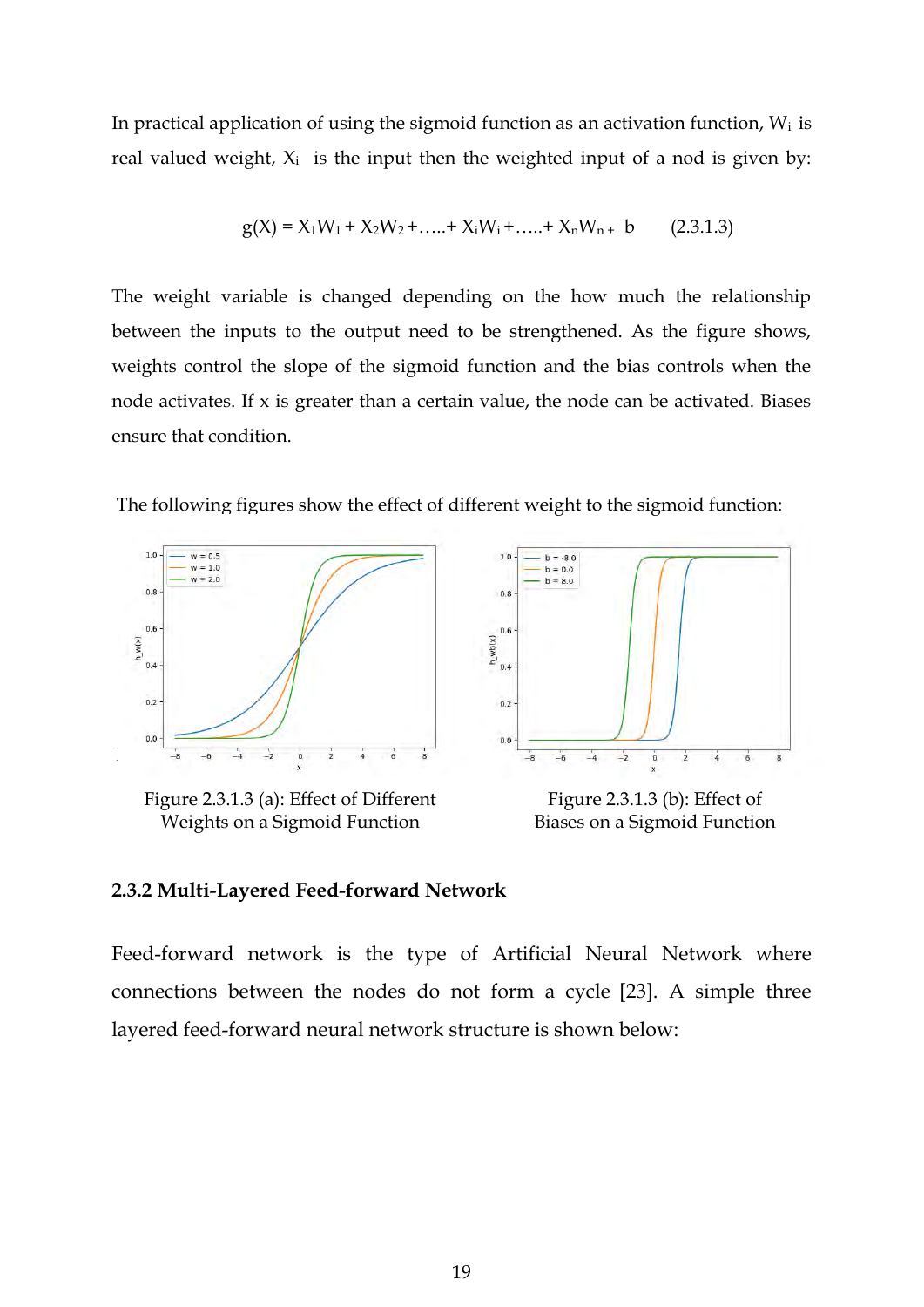In practical application of using the sigmoid function as an activation function,  $W_i$  is real valued weight,  $X_i$  is the input then the weighted input of a nod is given by:

$$
g(X) = X_1W_1 + X_2W_2 + \dots + X_iW_i + \dots + X_nW_n + b \qquad (2.3.1.3)
$$

The weight variable is changed depending on the how much the relationship between the inputs to the output need to be strengthened. As the figure shows, weights control the slope of the sigmoid function and the bias controls when the node activates. If x is greater than a certain value, the node can be activated. Biases ensure that condition.

The following figures show the effect of different weight to the sigmoid function:



Figure 2.3.1.3 (a): Effect of Different Weights on a Sigmoid Function



Figure 2.3.1.3 (b): Effect of Biases on a Sigmoid Function

#### <span id="page-18-0"></span>**2.3.2 Multi-Layered Feed-forward Network**

Feed-forward network is the type of Artificial Neural Network where connections between the nodes do not form a cycle [23]. A simple three layered feed-forward neural network structure is shown below: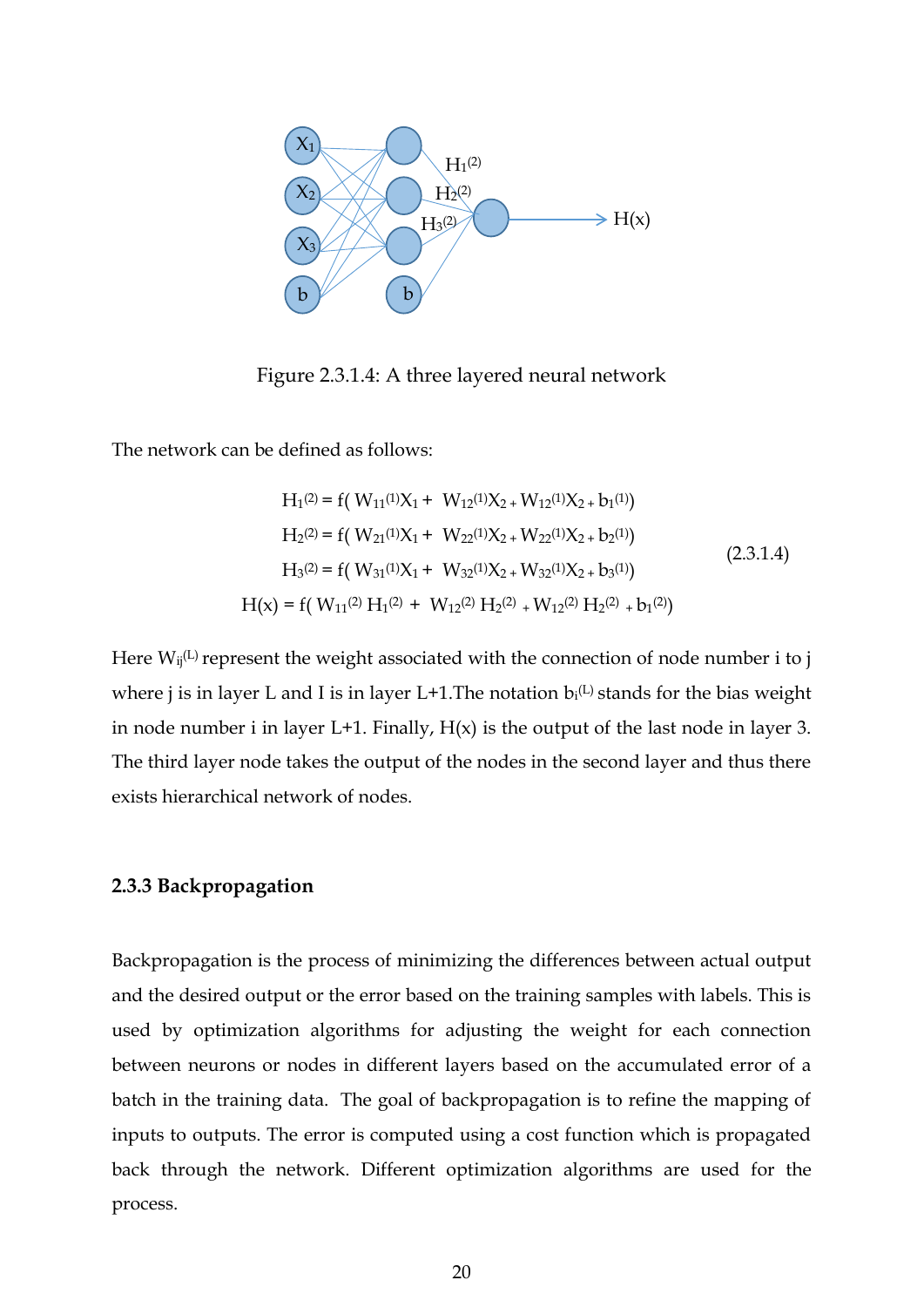

Figure 2.3.1.4: A three layered neural network

The network can be defined as follows:

$$
H_1^{(2)} = f(W_{11}^{(1)}X_1 + W_{12}^{(1)}X_2 + W_{12}^{(1)}X_2 + b_1^{(1)})
$$
  
\n
$$
H_2^{(2)} = f(W_{21}^{(1)}X_1 + W_{22}^{(1)}X_2 + W_{22}^{(1)}X_2 + b_2^{(1)})
$$
  
\n
$$
H_3^{(2)} = f(W_{31}^{(1)}X_1 + W_{32}^{(1)}X_2 + W_{32}^{(1)}X_2 + b_3^{(1)})
$$
  
\n
$$
H(x) = f(W_{11}^{(2)}H_1^{(2)} + W_{12}^{(2)}H_2^{(2)} + W_{12}^{(2)}H_2^{(2)} + b_1^{(2)})
$$
\n(2.3.1.4)

Here  $W_{ij}$ <sup>(L)</sup> represent the weight associated with the connection of node number i to j where j is in layer L and I is in layer L+1. The notation  $b_i$ <sup>(L)</sup> stands for the bias weight in node number i in layer  $L+1$ . Finally,  $H(x)$  is the output of the last node in layer 3. The third layer node takes the output of the nodes in the second layer and thus there exists hierarchical network of nodes.

#### <span id="page-19-0"></span>**2.3.3 Backpropagation**

Backpropagation is the process of minimizing the differences between actual output and the desired output or the error based on the training samples with labels. This is used by optimization algorithms for adjusting the weight for each connection between neurons or nodes in different layers based on the accumulated error of a batch in the training data. The goal of backpropagation is to refine the mapping of inputs to outputs. The error is computed using a cost function which is propagated back through the network. Different optimization algorithms are used for the process.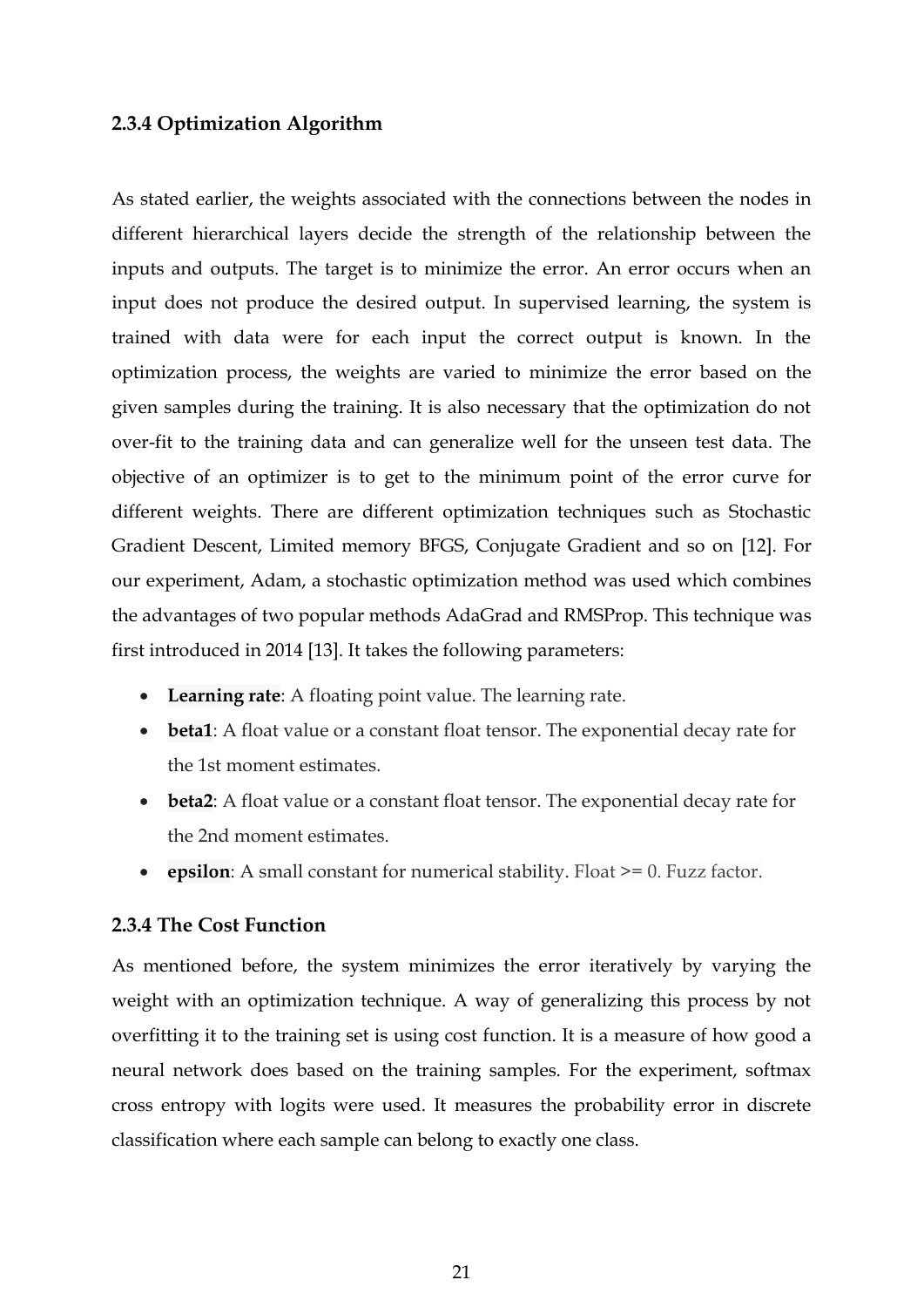#### <span id="page-20-0"></span>**2.3.4 Optimization Algorithm**

As stated earlier, the weights associated with the connections between the nodes in different hierarchical layers decide the strength of the relationship between the inputs and outputs. The target is to minimize the error. An error occurs when an input does not produce the desired output. In supervised learning, the system is trained with data were for each input the correct output is known. In the optimization process, the weights are varied to minimize the error based on the given samples during the training. It is also necessary that the optimization do not over-fit to the training data and can generalize well for the unseen test data. The objective of an optimizer is to get to the minimum point of the error curve for different weights. There are different optimization techniques such as Stochastic Gradient Descent, Limited memory BFGS, Conjugate Gradient and so on [12]. For our experiment, Adam, a stochastic optimization method was used which combines the advantages of two popular methods AdaGrad and RMSProp. This technique was first introduced in 2014 [13]. It takes the following parameters:

- **Learning rate**: A floating point value. The learning rate.
- **beta1**: A float value or a constant float tensor. The exponential decay rate for the 1st moment estimates.
- **beta2**: A float value or a constant float tensor. The exponential decay rate for the 2nd moment estimates.
- **epsilon**: A small constant for numerical stability. Float >= 0. Fuzz factor.

#### <span id="page-20-1"></span>**2.3.4 The Cost Function**

As mentioned before, the system minimizes the error iteratively by varying the weight with an optimization technique. A way of generalizing this process by not overfitting it to the training set is using cost function. It is a measure of how good a neural network does based on the training samples. For the experiment, softmax cross entropy with logits were used. It measures the probability error in discrete classification where each sample can belong to exactly one class.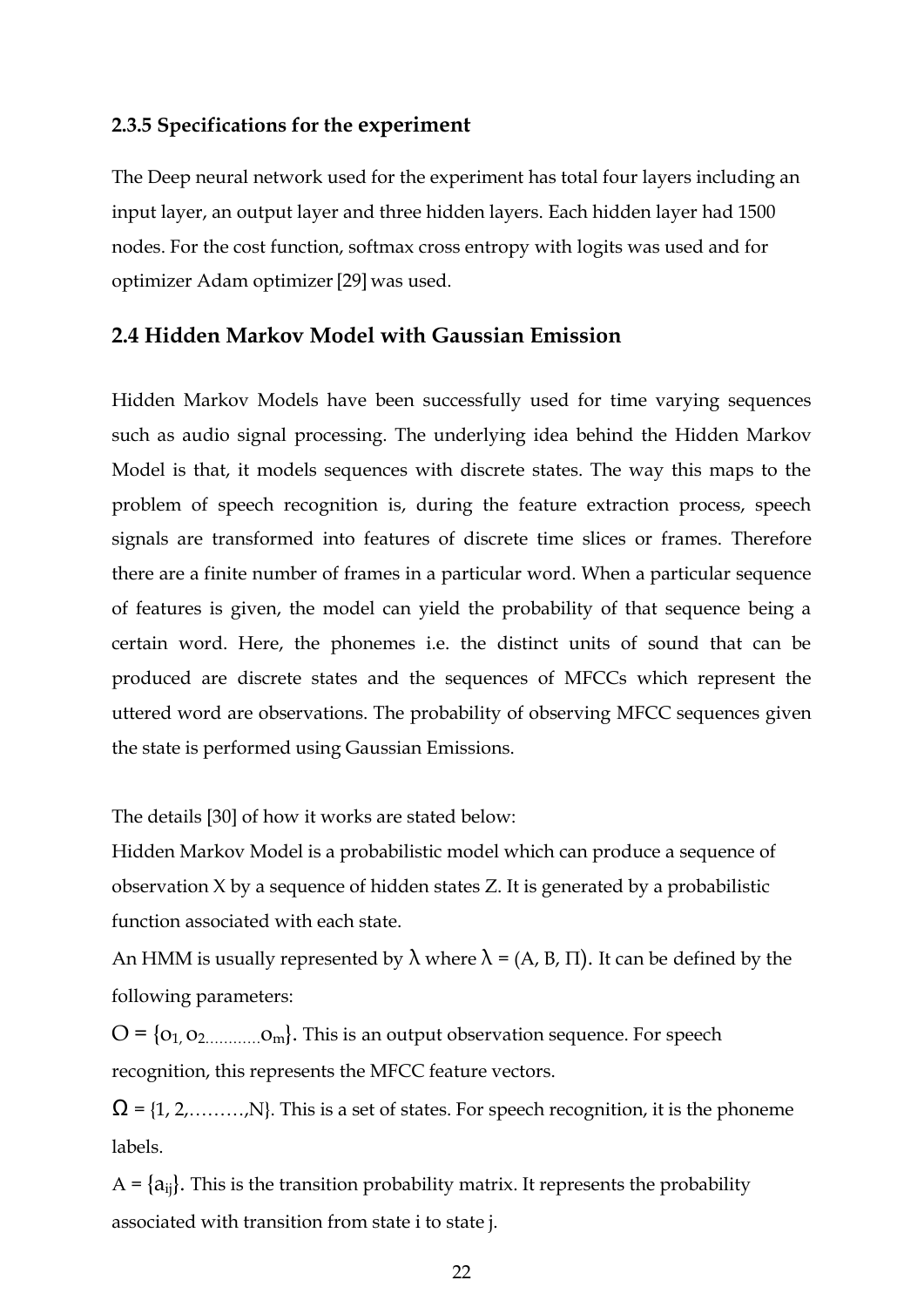#### <span id="page-21-0"></span>**2.3.5 Specifications for the experiment**

The Deep neural network used for the experiment has total four layers including an input layer, an output layer and three hidden layers. Each hidden layer had 1500 nodes. For the cost function, softmax cross entropy with logits was used and for optimizer Adam optimizer[29] was used.

#### <span id="page-21-1"></span>**2.4 Hidden Markov Model with Gaussian Emission**

Hidden Markov Models have been successfully used for time varying sequences such as audio signal processing. The underlying idea behind the Hidden Markov Model is that, it models sequences with discrete states. The way this maps to the problem of speech recognition is, during the feature extraction process, speech signals are transformed into features of discrete time slices or frames. Therefore there are a finite number of frames in a particular word. When a particular sequence of features is given, the model can yield the probability of that sequence being a certain word. Here, the phonemes i.e. the distinct units of sound that can be produced are discrete states and the sequences of MFCCs which represent the uttered word are observations. The probability of observing MFCC sequences given the state is performed using Gaussian Emissions.

The details [30] of how it works are stated below:

Hidden Markov Model is a probabilistic model which can produce a sequence of observation X by a sequence of hidden states Z. It is generated by a probabilistic function associated with each state.

An HMM is usually represented by  $\lambda$  where  $\lambda = (A, B, \Pi)$ . It can be defined by the following parameters:

 $O = \{o_1, o_2, \ldots, o_m\}$ . This is an output observation sequence. For speech recognition, this represents the MFCC feature vectors.

 $\Omega = \{1, 2, \ldots, N\}$ . This is a set of states. For speech recognition, it is the phoneme labels.

 $A = \{a_{ij}\}\$ . This is the transition probability matrix. It represents the probability associated with transition from state i to state j.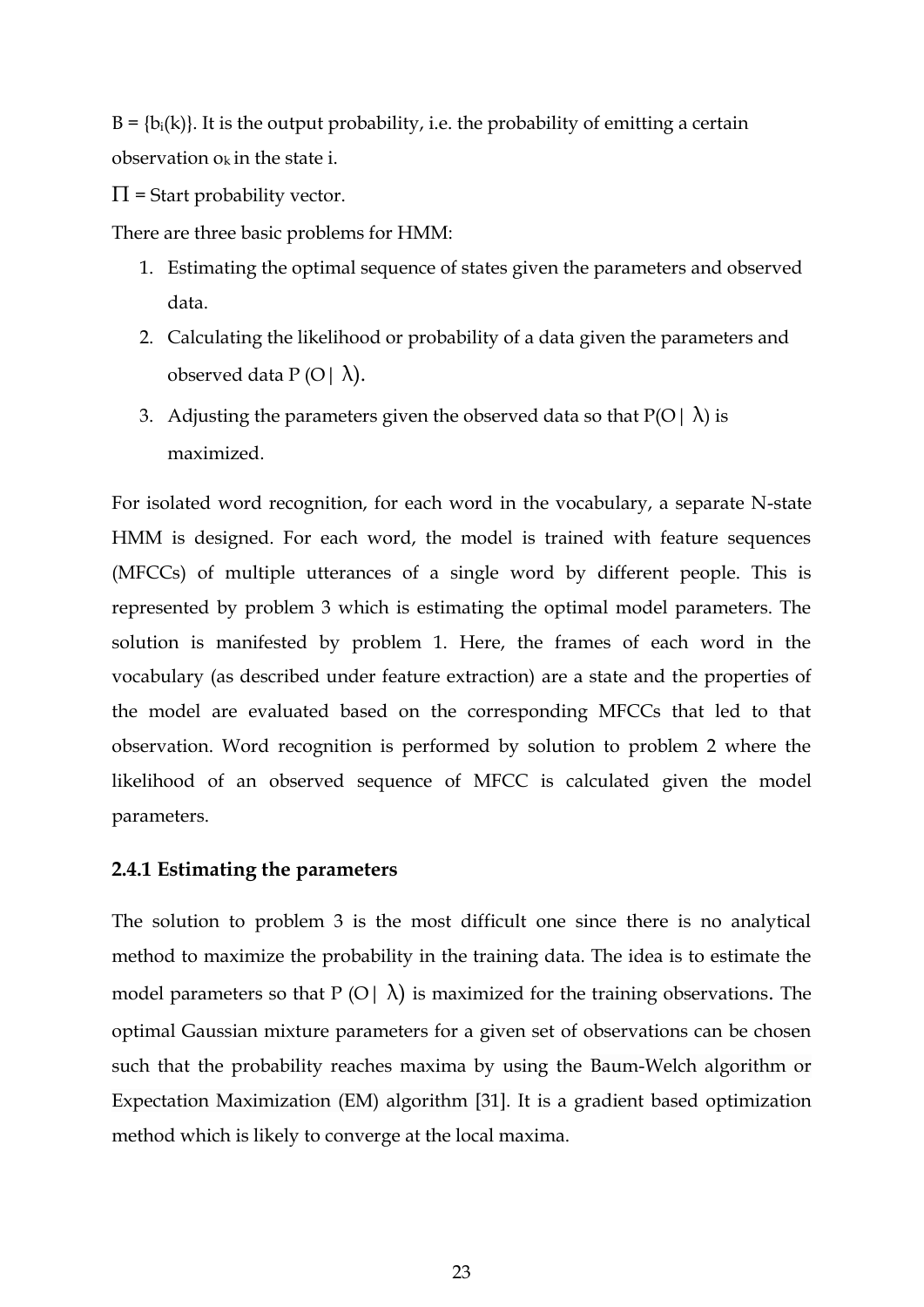$B = \{b_i(k)\}\$ . It is the output probability, i.e. the probability of emitting a certain observation  $o_k$  in the state i.

 $\Pi$  = Start probability vector.

There are three basic problems for HMM:

- 1. Estimating the optimal sequence of states given the parameters and observed data.
- 2. Calculating the likelihood or probability of a data given the parameters and observed data  $P(O | \lambda)$ .
- 3. Adjusting the parameters given the observed data so that  $P(O | \lambda)$  is maximized.

For isolated word recognition, for each word in the vocabulary, a separate N-state HMM is designed. For each word, the model is trained with feature sequences (MFCCs) of multiple utterances of a single word by different people. This is represented by problem 3 which is estimating the optimal model parameters. The solution is manifested by problem 1. Here, the frames of each word in the vocabulary (as described under feature extraction) are a state and the properties of the model are evaluated based on the corresponding MFCCs that led to that observation. Word recognition is performed by solution to problem 2 where the likelihood of an observed sequence of MFCC is calculated given the model parameters.

#### <span id="page-22-0"></span>**2.4.1 Estimating the parameters**

The solution to problem 3 is the most difficult one since there is no analytical method to maximize the probability in the training data. The idea is to estimate the model parameters so that  $P(O \mid \lambda)$  is maximized for the training observations. The optimal Gaussian mixture parameters for a given set of observations can be chosen such that the probability reaches maxima by using the Baum-Welch algorithm or Expectation Maximization (EM) algorithm [31]. It is a gradient based optimization method which is likely to converge at the local maxima.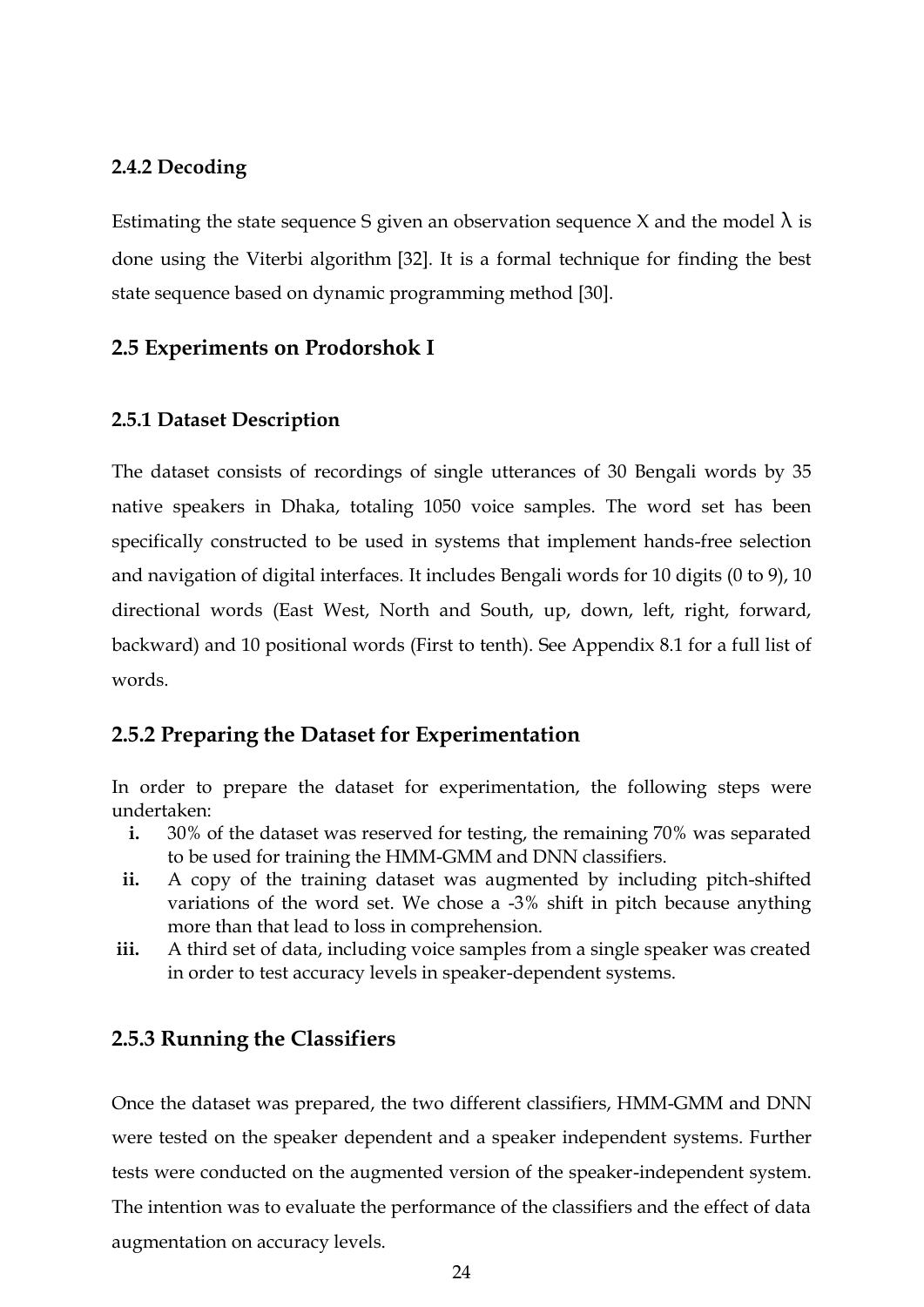#### <span id="page-23-0"></span>**2.4.2 Decoding**

Estimating the state sequence S given an observation sequence X and the model  $\lambda$  is done using the Viterbi algorithm [32]. It is a formal technique for finding the best state sequence based on dynamic programming method [30].

### <span id="page-23-1"></span>**2.5 Experiments on Prodorshok I**

#### <span id="page-23-2"></span>**2.5.1 Dataset Description**

The dataset consists of recordings of single utterances of 30 Bengali words by 35 native speakers in Dhaka, totaling 1050 voice samples. The word set has been specifically constructed to be used in systems that implement hands-free selection and navigation of digital interfaces. It includes Bengali words for 10 digits (0 to 9), 10 directional words (East West, North and South, up, down, left, right, forward, backward) and 10 positional words (First to tenth). See Appendix 8.1 for a full list of words.

### <span id="page-23-3"></span>**2.5.2 Preparing the Dataset for Experimentation**

In order to prepare the dataset for experimentation, the following steps were undertaken:

- **i.** 30% of the dataset was reserved for testing, the remaining 70% was separated to be used for training the HMM-GMM and DNN classifiers.
- **ii.** A copy of the training dataset was augmented by including pitch-shifted variations of the word set. We chose a -3% shift in pitch because anything more than that lead to loss in comprehension.
- **iii.** A third set of data, including voice samples from a single speaker was created in order to test accuracy levels in speaker-dependent systems.

#### <span id="page-23-4"></span>**2.5.3 Running the Classifiers**

Once the dataset was prepared, the two different classifiers, HMM-GMM and DNN were tested on the speaker dependent and a speaker independent systems. Further tests were conducted on the augmented version of the speaker-independent system. The intention was to evaluate the performance of the classifiers and the effect of data augmentation on accuracy levels.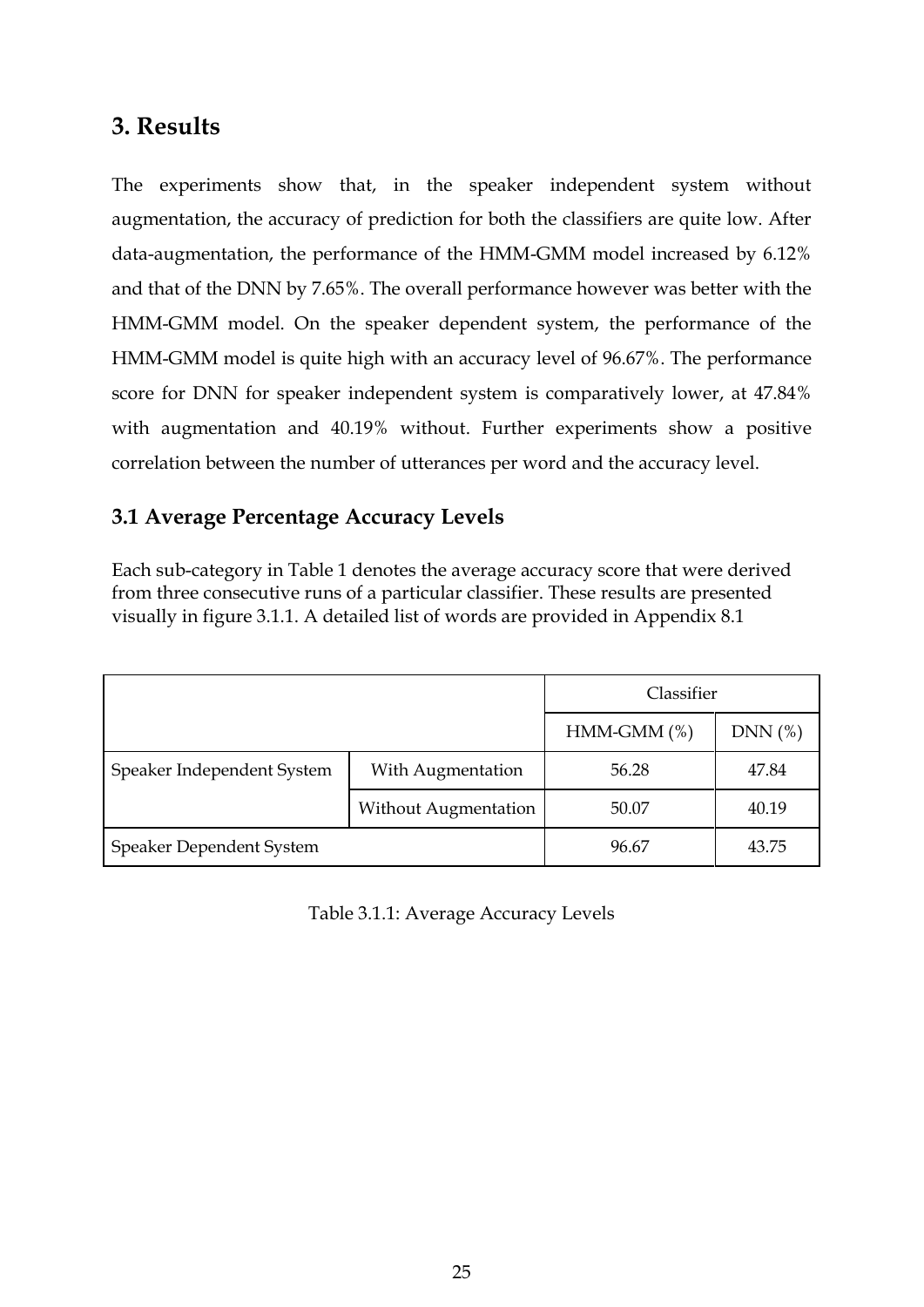# <span id="page-24-0"></span>**3. Results**

The experiments show that, in the speaker independent system without augmentation, the accuracy of prediction for both the classifiers are quite low. After data-augmentation, the performance of the HMM-GMM model increased by 6.12% and that of the DNN by 7.65%. The overall performance however was better with the HMM-GMM model. On the speaker dependent system, the performance of the HMM-GMM model is quite high with an accuracy level of 96.67%. The performance score for DNN for speaker independent system is comparatively lower, at 47.84% with augmentation and 40.19% without. Further experiments show a positive correlation between the number of utterances per word and the accuracy level.

# <span id="page-24-1"></span>**3.1 Average Percentage Accuracy Levels**

Each sub-category in Table 1 denotes the average accuracy score that were derived from three consecutive runs of a particular classifier. These results are presented visually in figure 3.1.1. A detailed list of words are provided in Appendix 8.1

|                            |                             | Classifier    |        |
|----------------------------|-----------------------------|---------------|--------|
|                            |                             | $HMM-GMM$ (%) | DNN(%) |
| Speaker Independent System | With Augmentation           | 56.28         | 47.84  |
|                            | <b>Without Augmentation</b> | 50.07         | 40.19  |
| Speaker Dependent System   | 96.67                       | 43.75         |        |

Table 3.1.1: Average Accuracy Levels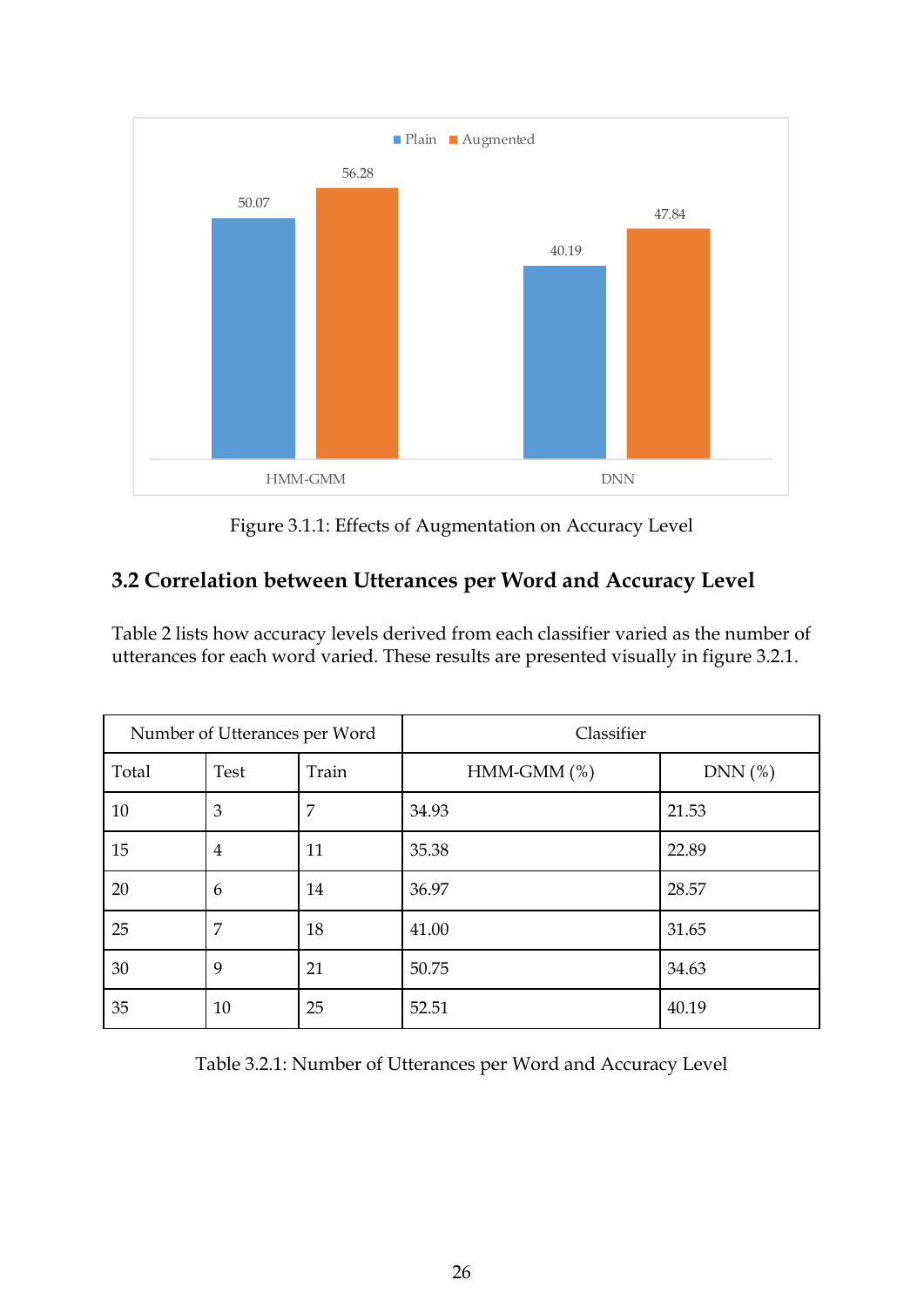

Figure 3.1.1: Effects of Augmentation on Accuracy Level

# <span id="page-25-0"></span>**3.2 Correlation between Utterances per Word and Accuracy Level**

Table 2 lists how accuracy levels derived from each classifier varied as the number of utterances for each word varied. These results are presented visually in figure 3.2.1.

| Number of Utterances per Word |                |       | Classifier    |        |
|-------------------------------|----------------|-------|---------------|--------|
| Total                         | Test           | Train | $HMM-GMM$ (%) | DNN(%) |
| 10                            | 3              | 7     | 34.93         | 21.53  |
| 15                            | $\overline{4}$ | 11    | 35.38         | 22.89  |
| 20                            | 6              | 14    | 36.97         | 28.57  |
| 25                            | 7              | 18    | 41.00         | 31.65  |
| 30                            | 9              | 21    | 50.75         | 34.63  |
| 35                            | 10             | 25    | 52.51         | 40.19  |

Table 3.2.1: Number of Utterances per Word and Accuracy Level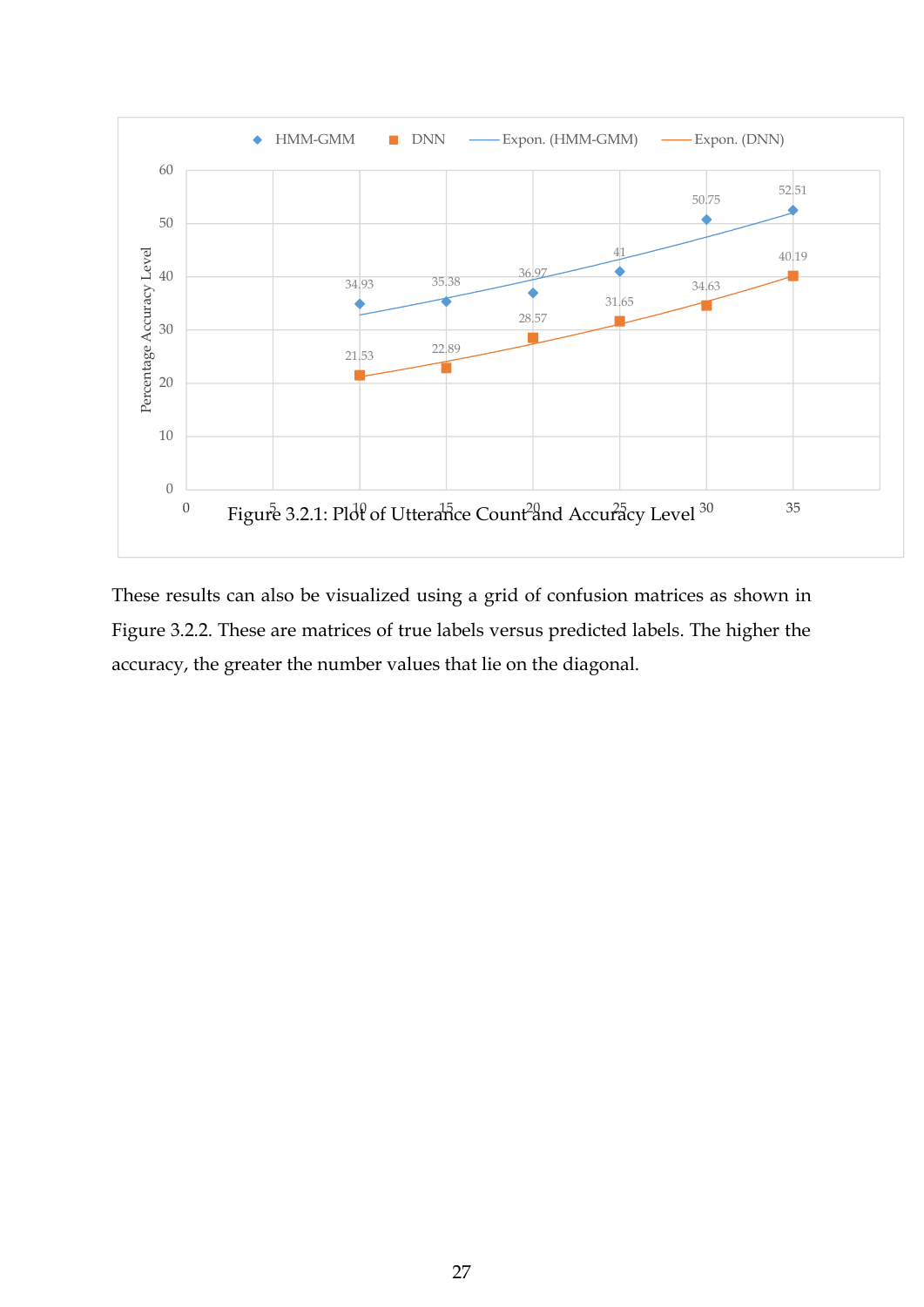

These results can also be visualized using a grid of confusion matrices as shown in Figure 3.2.2. These are matrices of true labels versus predicted labels. The higher the accuracy, the greater the number values that lie on the diagonal.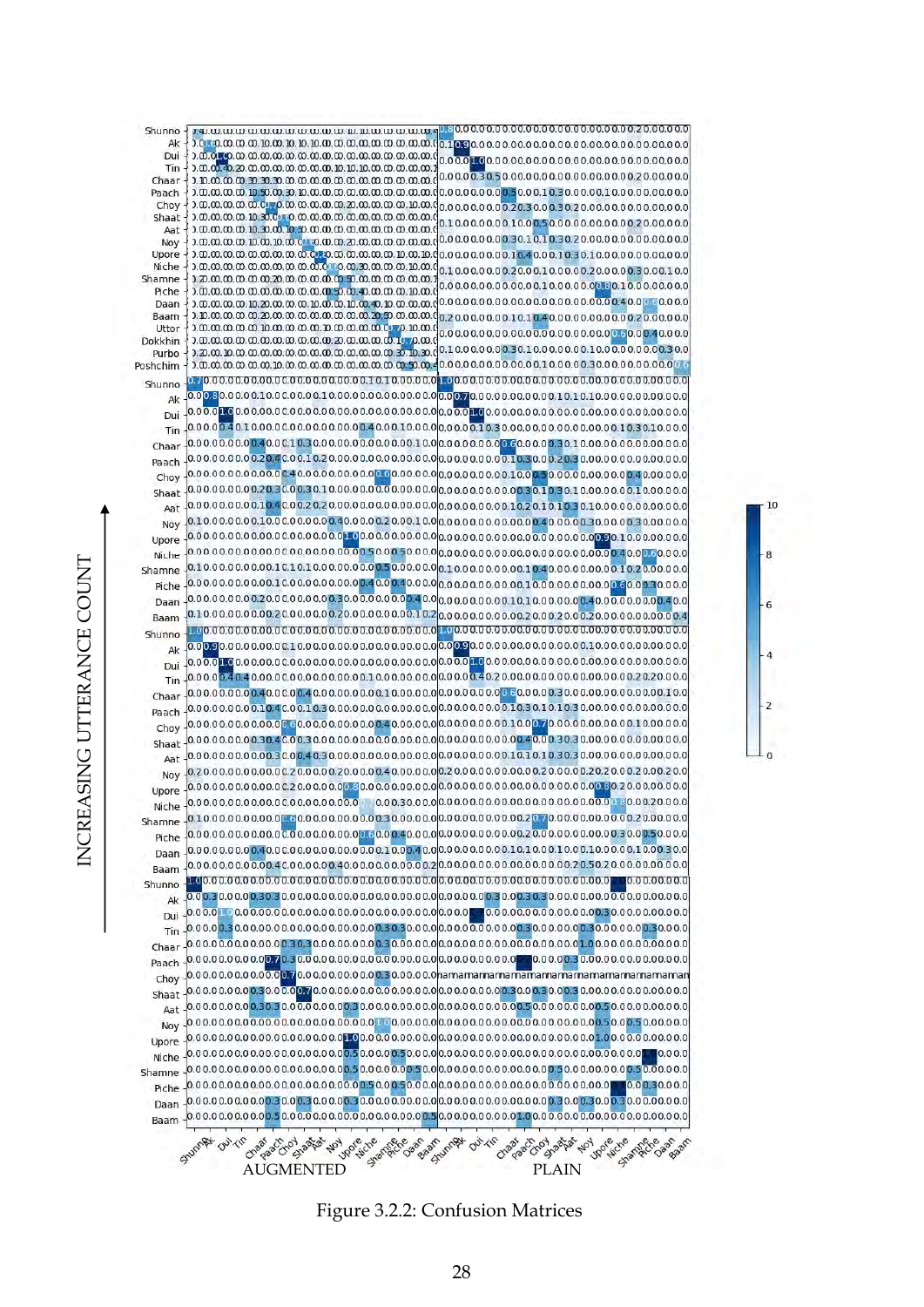

10

 $\overline{2}$ 

Figure 3.2.2: Confusion Matrices

INCREASING UTTERANCE COUNT NCREASING UTTERANCE COUNT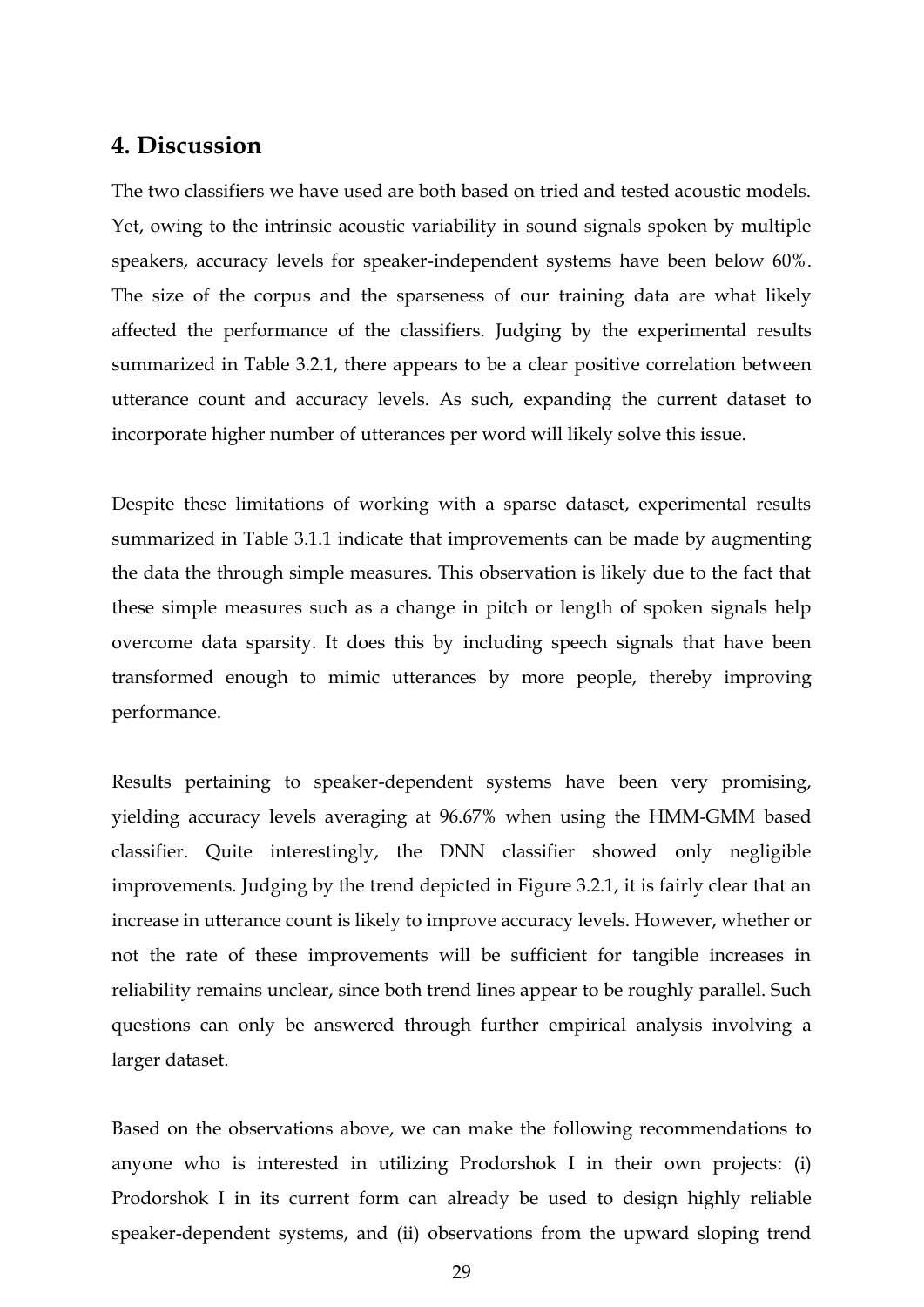### <span id="page-28-0"></span>**4. Discussion**

The two classifiers we have used are both based on tried and tested acoustic models. Yet, owing to the intrinsic acoustic variability in sound signals spoken by multiple speakers, accuracy levels for speaker-independent systems have been below 60%. The size of the corpus and the sparseness of our training data are what likely affected the performance of the classifiers. Judging by the experimental results summarized in Table 3.2.1, there appears to be a clear positive correlation between utterance count and accuracy levels. As such, expanding the current dataset to incorporate higher number of utterances per word will likely solve this issue.

Despite these limitations of working with a sparse dataset, experimental results summarized in Table 3.1.1 indicate that improvements can be made by augmenting the data the through simple measures. This observation is likely due to the fact that these simple measures such as a change in pitch or length of spoken signals help overcome data sparsity. It does this by including speech signals that have been transformed enough to mimic utterances by more people, thereby improving performance.

Results pertaining to speaker-dependent systems have been very promising, yielding accuracy levels averaging at 96.67% when using the HMM-GMM based classifier. Quite interestingly, the DNN classifier showed only negligible improvements. Judging by the trend depicted in Figure 3.2.1, it is fairly clear that an increase in utterance count is likely to improve accuracy levels. However, whether or not the rate of these improvements will be sufficient for tangible increases in reliability remains unclear, since both trend lines appear to be roughly parallel. Such questions can only be answered through further empirical analysis involving a larger dataset.

Based on the observations above, we can make the following recommendations to anyone who is interested in utilizing Prodorshok I in their own projects: (i) Prodorshok I in its current form can already be used to design highly reliable speaker-dependent systems, and (ii) observations from the upward sloping trend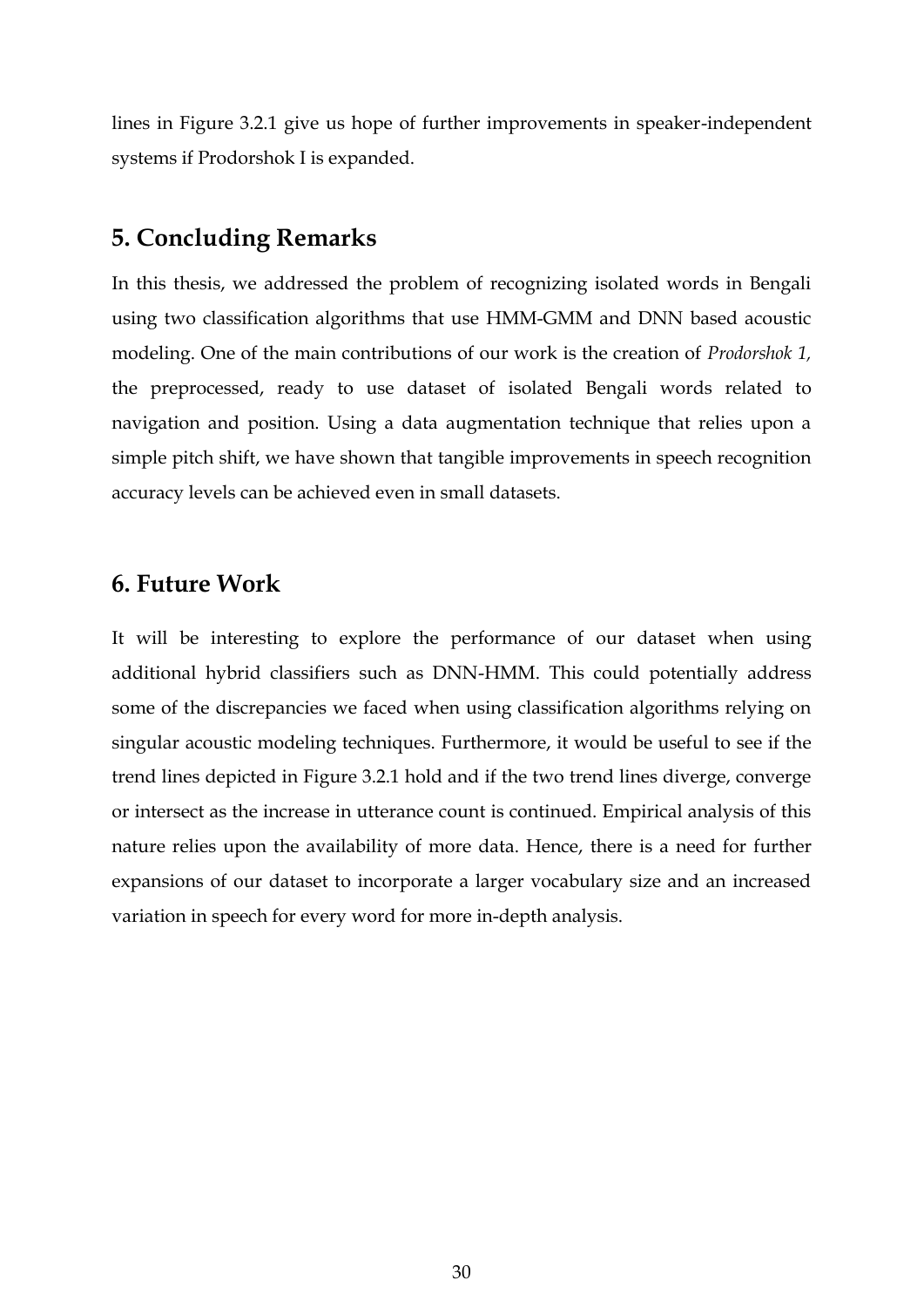lines in Figure 3.2.1 give us hope of further improvements in speaker-independent systems if Prodorshok I is expanded.

# <span id="page-29-0"></span>**5. Concluding Remarks**

In this thesis, we addressed the problem of recognizing isolated words in Bengali using two classification algorithms that use HMM-GMM and DNN based acoustic modeling. One of the main contributions of our work is the creation of *Prodorshok 1,* the preprocessed, ready to use dataset of isolated Bengali words related to navigation and position. Using a data augmentation technique that relies upon a simple pitch shift, we have shown that tangible improvements in speech recognition accuracy levels can be achieved even in small datasets.

### <span id="page-29-1"></span>**6. Future Work**

It will be interesting to explore the performance of our dataset when using additional hybrid classifiers such as DNN-HMM. This could potentially address some of the discrepancies we faced when using classification algorithms relying on singular acoustic modeling techniques. Furthermore, it would be useful to see if the trend lines depicted in Figure 3.2.1 hold and if the two trend lines diverge, converge or intersect as the increase in utterance count is continued. Empirical analysis of this nature relies upon the availability of more data. Hence, there is a need for further expansions of our dataset to incorporate a larger vocabulary size and an increased variation in speech for every word for more in-depth analysis.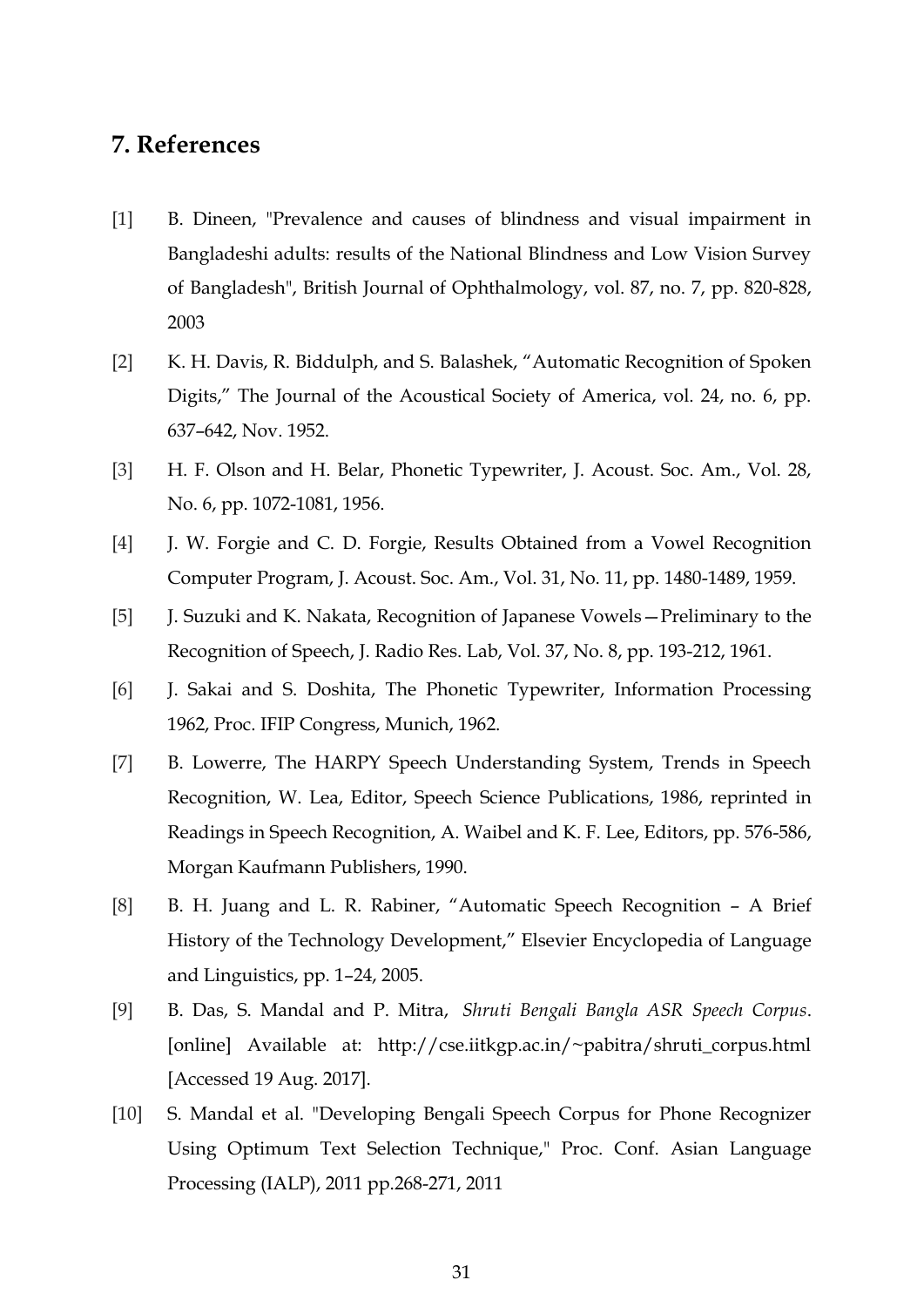# <span id="page-30-0"></span>**7. References**

- [1] B. Dineen, "Prevalence and causes of blindness and visual impairment in Bangladeshi adults: results of the National Blindness and Low Vision Survey of Bangladesh", British Journal of Ophthalmology, vol. 87, no. 7, pp. 820-828, 2003
- [2] K. H. Davis, R. Biddulph, and S. Balashek, "Automatic Recognition of Spoken Digits," The Journal of the Acoustical Society of America, vol. 24, no. 6, pp. 637–642, Nov. 1952.
- [3] H. F. Olson and H. Belar, Phonetic Typewriter, J. Acoust. Soc. Am., Vol. 28, No. 6, pp. 1072-1081, 1956.
- [4] J. W. Forgie and C. D. Forgie, Results Obtained from a Vowel Recognition Computer Program, J. Acoust. Soc. Am., Vol. 31, No. 11, pp. 1480-1489, 1959.
- [5] J. Suzuki and K. Nakata, Recognition of Japanese Vowels—Preliminary to the Recognition of Speech, J. Radio Res. Lab, Vol. 37, No. 8, pp. 193-212, 1961.
- [6] J. Sakai and S. Doshita, The Phonetic Typewriter, Information Processing 1962, Proc. IFIP Congress, Munich, 1962.
- [7] B. Lowerre, The HARPY Speech Understanding System, Trends in Speech Recognition, W. Lea, Editor, Speech Science Publications, 1986, reprinted in Readings in Speech Recognition, A. Waibel and K. F. Lee, Editors, pp. 576-586, Morgan Kaufmann Publishers, 1990.
- [8] B. H. Juang and L. R. Rabiner, "Automatic Speech Recognition A Brief History of the Technology Development," Elsevier Encyclopedia of Language and Linguistics, pp. 1–24, 2005.
- [9] B. Das, S. Mandal and P. Mitra, *Shruti Bengali Bangla ASR Speech Corpus*. [online] Available at: http://cse.iitkgp.ac.in/~pabitra/shruti\_corpus.html [Accessed 19 Aug. 2017].
- [10] S. Mandal et al. "Developing Bengali Speech Corpus for Phone Recognizer Using Optimum Text Selection Technique," Proc. Conf. Asian Language Processing (IALP), 2011 pp.268-271, 2011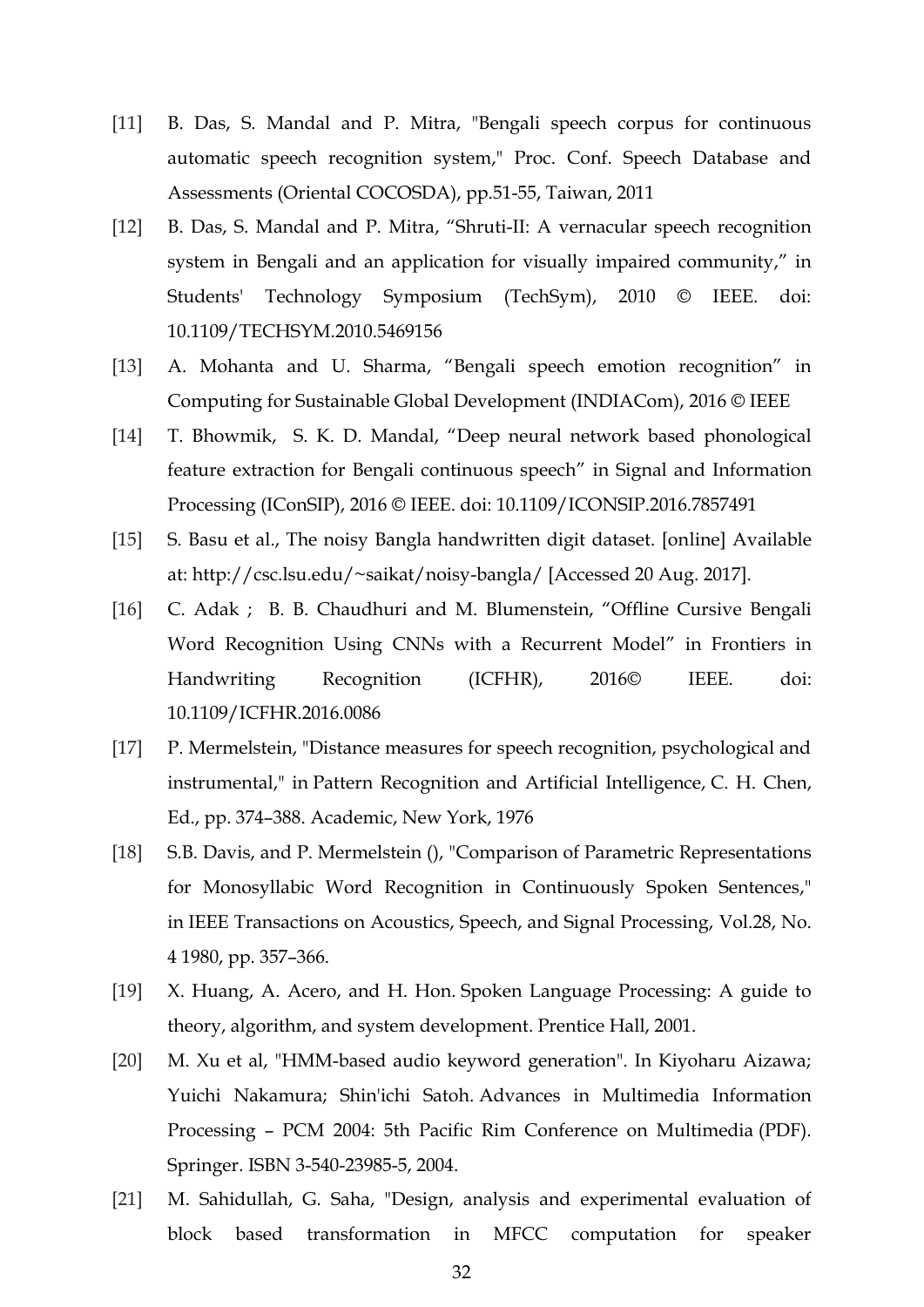- [11] B. Das, S. Mandal and P. Mitra, "Bengali speech corpus for continuous automatic speech recognition system," Proc. Conf. Speech Database and Assessments (Oriental COCOSDA), pp.51-55, Taiwan, 2011
- [12] B. Das, S. Mandal and P. Mitra, "Shruti-II: A vernacular speech recognition system in Bengali and an application for visually impaired community," in Students' Technology Symposium (TechSym), 2010 © IEEE. doi: 10.1109/TECHSYM.2010.5469156
- [13] A. Mohanta and U. Sharma, "Bengali speech emotion recognition" in Computing for Sustainable Global Development (INDIACom), 2016 © IEEE
- [14] T. Bhowmik, S. K. D. Mandal, "Deep neural network based phonological feature extraction for Bengali continuous speech" in Signal and Information Processing (IConSIP), 2016 © IEEE. doi: 10.1109/ICONSIP.2016.7857491
- [15] S. Basu et al., The noisy Bangla handwritten digit dataset. [online] Available at: http://csc.lsu.edu/~saikat/noisy-bangla/ [Accessed 20 Aug. 2017].
- [16] C. Adak ; B. B. Chaudhuri and M. Blumenstein, "Offline Cursive Bengali Word Recognition Using CNNs with a Recurrent Model" in Frontiers in Handwriting Recognition (ICFHR), 2016© IEEE. doi: 10.1109/ICFHR.2016.0086
- [17] P. Mermelstein, "Distance measures for speech recognition, psychological and instrumental," in Pattern Recognition and Artificial Intelligence, C. H. Chen, Ed., pp. 374–388. Academic, New York, 1976
- [18] S.B. Davis, and P. Mermelstein (), "Comparison of Parametric Representations for Monosyllabic Word Recognition in Continuously Spoken Sentences," in IEEE Transactions on Acoustics, Speech, and Signal Processing, Vol.28, No. 4 1980, pp. 357–366.
- [19] X. Huang, A. Acero, and H. Hon. Spoken Language Processing: A guide to theory, algorithm, and system development. Prentice Hall, 2001.
- [20] M. Xu et al, "HMM-based audio keyword generation". In Kiyoharu Aizawa; Yuichi Nakamura; Shin'ichi Satoh. Advances in Multimedia Information Processing – PCM 2004: 5th Pacific Rim Conference on Multimedia (PDF). Springer. ISBN 3-540-23985-5, 2004.
- [21] M. Sahidullah, G. Saha, "Design, analysis and experimental evaluation of block based transformation in MFCC computation for speaker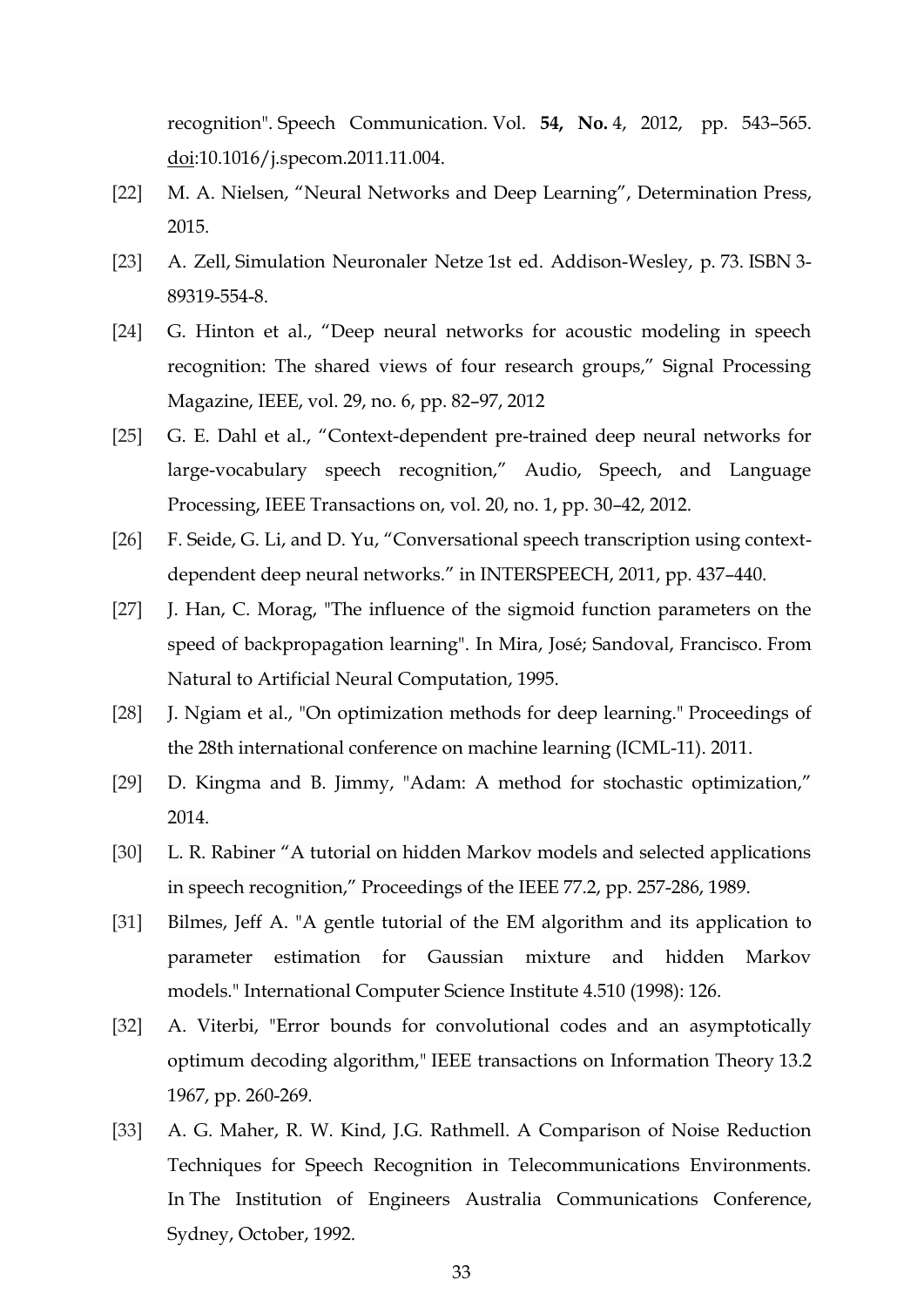recognition". Speech Communication. Vol. **54, No.** 4, 2012, pp. 543–565. [doi:](https://en.wikipedia.org/wiki/Digital_object_identifier)10.1016/j.specom.2011.11.004.

- [22] M. A. Nielsen, "Neural Networks and Deep Learning", Determination Press, 2015.
- [23] A. Zell, Simulation Neuronaler Netze 1st ed. Addison-Wesley, p. 73. ISBN 3- 89319-554-8.
- [24] G. Hinton et al., "Deep neural networks for acoustic modeling in speech recognition: The shared views of four research groups," Signal Processing Magazine, IEEE, vol. 29, no. 6, pp. 82–97, 2012
- [25] G. E. Dahl et al., "Context-dependent pre-trained deep neural networks for large-vocabulary speech recognition," Audio, Speech, and Language Processing, IEEE Transactions on, vol. 20, no. 1, pp. 30–42, 2012.
- [26] F. Seide, G. Li, and D. Yu, "Conversational speech transcription using contextdependent deep neural networks." in INTERSPEECH, 2011, pp. 437–440.
- [27] J. Han, C. Morag, "The influence of the sigmoid function parameters on the speed of backpropagation learning". In Mira, José; Sandoval, Francisco. From Natural to Artificial Neural Computation, 1995.
- [28] J. Ngiam et al., "On optimization methods for deep learning." Proceedings of the 28th international conference on machine learning (ICML-11). 2011.
- [29] D. Kingma and B. Jimmy, "Adam: A method for stochastic optimization," 2014.
- [30] L. R. Rabiner "A tutorial on hidden Markov models and selected applications in speech recognition," Proceedings of the IEEE 77.2, pp. 257-286, 1989.
- [31] Bilmes, Jeff A. "A gentle tutorial of the EM algorithm and its application to parameter estimation for Gaussian mixture and hidden Markov models." International Computer Science Institute 4.510 (1998): 126.
- [32] A. Viterbi, "Error bounds for convolutional codes and an asymptotically optimum decoding algorithm," IEEE transactions on Information Theory 13.2 1967, pp. 260-269.
- [33] A. G. Maher, R. W. Kind, J.G. Rathmell. A Comparison of Noise Reduction Techniques for Speech Recognition in Telecommunications Environments. In The Institution of Engineers Australia Communications Conference, Sydney, October, 1992.